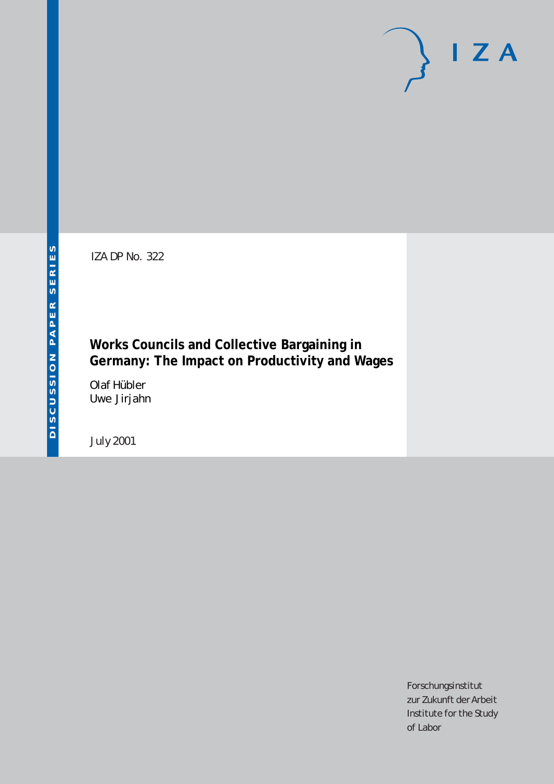IZA DP No. 322

# **Works Councils and Collective Bargaining in Germany: The Impact on Productivity and Wages**

Olaf Hübler Uwe Jirjahn

July 2001

Forschungsinstitut zur Zukunft der Arbeit Institute for the Study of Labor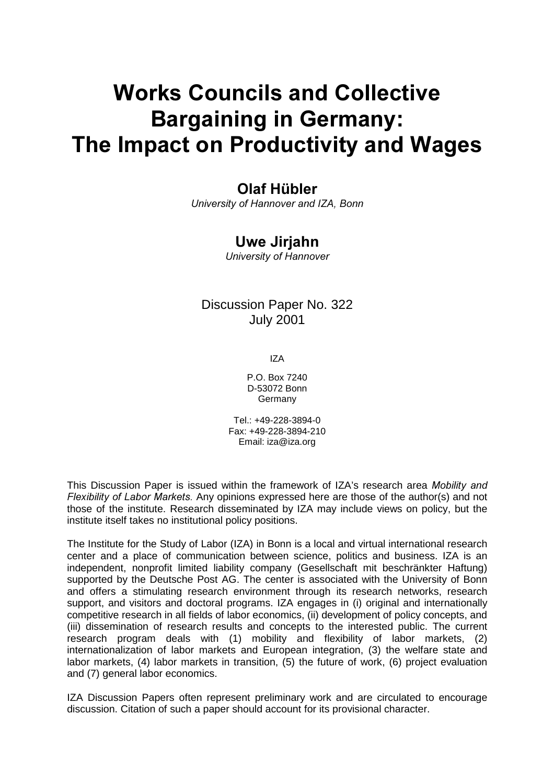# **Works Councils and Collective Bargaining in Germany:** The Impact on Productivity and Wages

# Olaf Hübler

University of Hannover and IZA, Bonn

# Uwe Jirjahn

University of Hannover

# Discussion Paper No. 322 July 2001

IZA

P.O. Box 7240 D-53072 Bonn Germany

Tel.: +49-228-3894-0 Fax: +49-228-3894-210 Email: iza@iza.org

This Discussion Paper is issued within the framework of IZA's research area Mobility and Flexibility of Labor Markets. Any opinions expressed here are those of the author(s) and not those of the institute. Research disseminated by IZA may include views on policy, but the institute itself takes no institutional policy positions.

The Institute for the Study of Labor (IZA) in Bonn is a local and virtual international research center and a place of communication between science, politics and business. IZA is an independent, nonprofit limited liability company (Gesellschaft mit beschränkter Haftung) supported by the Deutsche Post AG. The center is associated with the University of Bonn and offers a stimulating research environment through its research networks, research support, and visitors and doctoral programs. IZA engages in (i) original and internationally competitive research in all fields of labor economics, (ii) development of policy concepts, and (iii) dissemination of research results and concepts to the interested public. The current research program deals with (1) mobility and flexibility of labor markets, (2) internationalization of labor markets and European integration, (3) the welfare state and labor markets, (4) labor markets in transition, (5) the future of work, (6) project evaluation and (7) general labor economics.

IZA Discussion Papers often represent preliminary work and are circulated to encourage discussion. Citation of such a paper should account for its provisional character.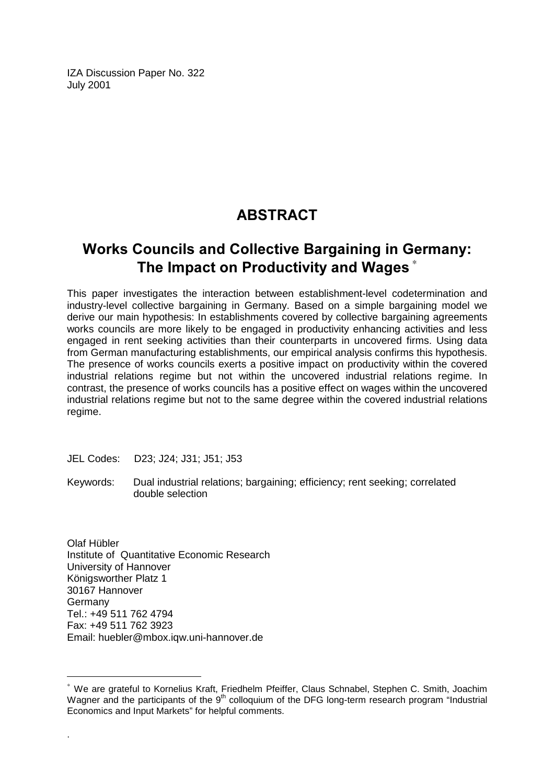IZA Discussion Paper No. 322 July 2001

# **ABSTRACT**

# **Works Councils and Collective Bargaining in Germany:** The Impact on Productivity and Wages  $^\ast$

This paper investigates the interaction between establishment-level codetermination and industry-level collective bargaining in Germany. Based on a simple bargaining model we derive our main hypothesis: In establishments covered by collective bargaining agreements works councils are more likely to be engaged in productivity enhancing activities and less engaged in rent seeking activities than their counterparts in uncovered firms. Using data from German manufacturing establishments, our empirical analysis confirms this hypothesis. The presence of works councils exerts a positive impact on productivity within the covered industrial relations regime but not within the uncovered industrial relations regime. In contrast, the presence of works councils has a positive effect on wages within the uncovered industrial relations regime but not to the same degree within the covered industrial relations regime.

JEL Codes: D23; J24; J31; J51; J53

Keywords: Dual industrial relations; bargaining; efficiency; rent seeking; correlated double selection

Olaf Hübler Institute of Quantitative Economic Research University of Hannover Königsworther Platz 1 30167 Hannover Germany Tel.: +49 511 762 4794 Fax: +49 511 762 3923 Email: huebler@mbox.iqw.uni-hannover.de

 $\overline{a}$ 

.

<sup>∗</sup> We are grateful to Kornelius Kraft, Friedhelm Pfeiffer, Claus Schnabel, Stephen C. Smith, Joachim Wagner and the participants of the  $9<sup>th</sup>$  colloquium of the DFG long-term research program "Industrial Economics and Input Markets" for helpful comments.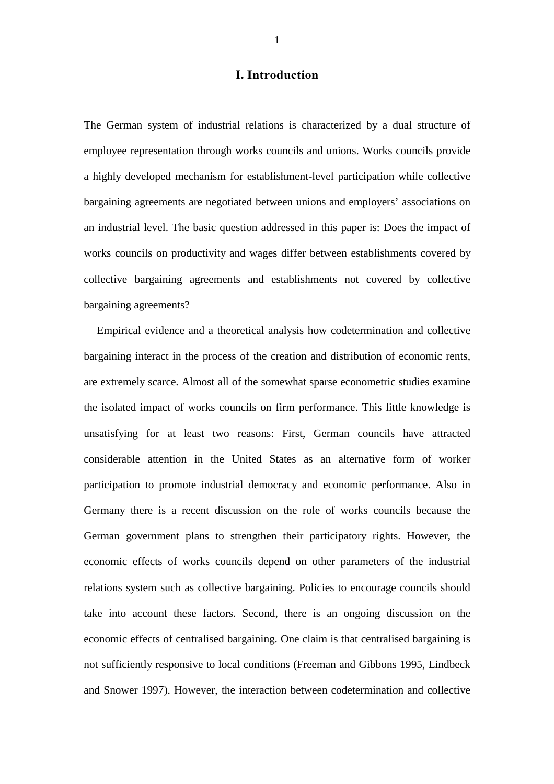## I. Introduction

The German system of industrial relations is characterized by a dual structure of employee representation through works councils and unions. Works councils provide a highly developed mechanism for establishment-level participation while collective bargaining agreements are negotiated between unions and employers' associations on an industrial level. The basic question addressed in this paper is: Does the impact of works councils on productivity and wages differ between establishments covered by collective bargaining agreements and establishments not covered by collective bargaining agreements?

Empirical evidence and a theoretical analysis how codetermination and collective bargaining interact in the process of the creation and distribution of economic rents, are extremely scarce. Almost all of the somewhat sparse econometric studies examine the isolated impact of works councils on firm performance. This little knowledge is unsatisfying for at least two reasons: First, German councils have attracted considerable attention in the United States as an alternative form of worker participation to promote industrial democracy and economic performance. Also in Germany there is a recent discussion on the role of works councils because the German government plans to strengthen their participatory rights. However, the economic effects of works councils depend on other parameters of the industrial relations system such as collective bargaining. Policies to encourage councils should take into account these factors. Second, there is an ongoing discussion on the economic effects of centralised bargaining. One claim is that centralised bargaining is not sufficiently responsive to local conditions (Freeman and Gibbons 1995, Lindbeck and Snower 1997). However, the interaction between codetermination and collective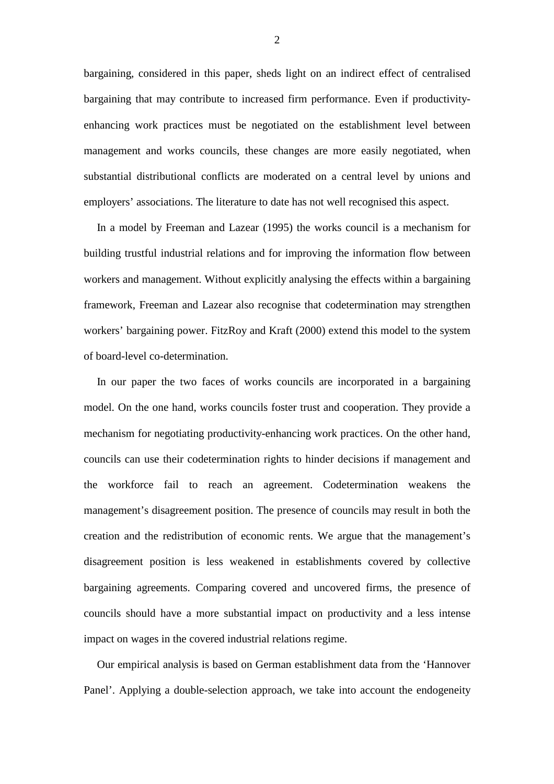bargaining, considered in this paper, sheds light on an indirect effect of centralised bargaining that may contribute to increased firm performance. Even if productivityenhancing work practices must be negotiated on the establishment level between management and works councils, these changes are more easily negotiated, when substantial distributional conflicts are moderated on a central level by unions and employers' associations. The literature to date has not well recognised this aspect.

In a model by Freeman and Lazear (1995) the works council is a mechanism for building trustful industrial relations and for improving the information flow between workers and management. Without explicitly analysing the effects within a bargaining framework, Freeman and Lazear also recognise that codetermination may strengthen workers' bargaining power. FitzRoy and Kraft (2000) extend this model to the system of board-level co-determination.

In our paper the two faces of works councils are incorporated in a bargaining model. On the one hand, works councils foster trust and cooperation. They provide a mechanism for negotiating productivity-enhancing work practices. On the other hand, councils can use their codetermination rights to hinder decisions if management and the workforce fail to reach an agreement. Codetermination weakens the management's disagreement position. The presence of councils may result in both the creation and the redistribution of economic rents. We argue that the management's disagreement position is less weakened in establishments covered by collective bargaining agreements. Comparing covered and uncovered firms, the presence of councils should have a more substantial impact on productivity and a less intense impact on wages in the covered industrial relations regime.

Our empirical analysis is based on German establishment data from the 'Hannover Panel'. Applying a double-selection approach, we take into account the endogeneity

2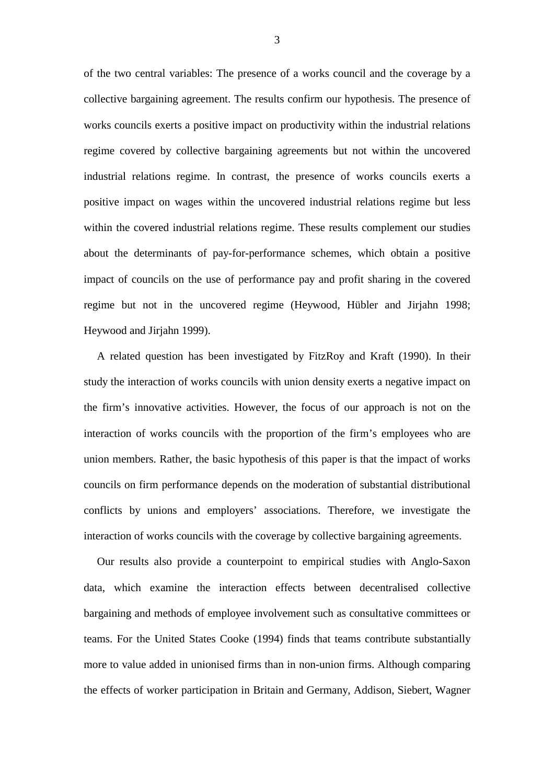of the two central variables: The presence of a works council and the coverage by a collective bargaining agreement. The results confirm our hypothesis. The presence of works councils exerts a positive impact on productivity within the industrial relations regime covered by collective bargaining agreements but not within the uncovered industrial relations regime. In contrast, the presence of works councils exerts a positive impact on wages within the uncovered industrial relations regime but less within the covered industrial relations regime. These results complement our studies about the determinants of pay-for-performance schemes, which obtain a positive impact of councils on the use of performance pay and profit sharing in the covered regime but not in the uncovered regime (Heywood, Hübler and Jirjahn 1998; Heywood and Jirjahn 1999).

A related question has been investigated by FitzRoy and Kraft (1990). In their study the interaction of works councils with union density exerts a negative impact on the firm's innovative activities. However, the focus of our approach is not on the interaction of works councils with the proportion of the firm's employees who are union members. Rather, the basic hypothesis of this paper is that the impact of works councils on firm performance depends on the moderation of substantial distributional conflicts by unions and employers' associations. Therefore, we investigate the interaction of works councils with the coverage by collective bargaining agreements.

Our results also provide a counterpoint to empirical studies with Anglo-Saxon data, which examine the interaction effects between decentralised collective bargaining and methods of employee involvement such as consultative committees or teams. For the United States Cooke (1994) finds that teams contribute substantially more to value added in unionised firms than in non-union firms. Although comparing the effects of worker participation in Britain and Germany, Addison, Siebert, Wagner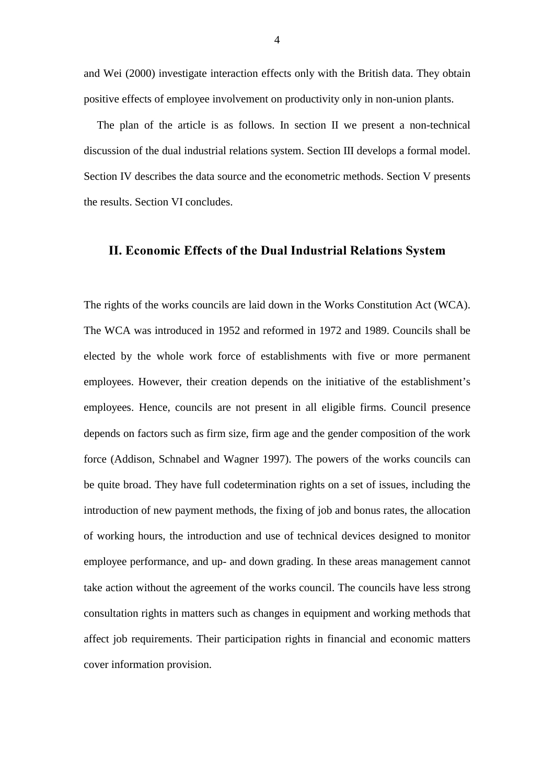and Wei (2000) investigate interaction effects only with the British data. They obtain positive effects of employee involvement on productivity only in non-union plants.

The plan of the article is as follows. In section II we present a non-technical discussion of the dual industrial relations system. Section III develops a formal model. Section IV describes the data source and the econometric methods. Section V presents the results. Section VI concludes.

## II. Economic Effects of the Dual Industrial Relations System

The rights of the works councils are laid down in the Works Constitution Act (WCA). The WCA was introduced in 1952 and reformed in 1972 and 1989. Councils shall be elected by the whole work force of establishments with five or more permanent employees. However, their creation depends on the initiative of the establishment's employees. Hence, councils are not present in all eligible firms. Council presence depends on factors such as firm size, firm age and the gender composition of the work force (Addison, Schnabel and Wagner 1997). The powers of the works councils can be quite broad. They have full codetermination rights on a set of issues, including the introduction of new payment methods, the fixing of job and bonus rates, the allocation of working hours, the introduction and use of technical devices designed to monitor employee performance, and up- and down grading. In these areas management cannot take action without the agreement of the works council. The councils have less strong consultation rights in matters such as changes in equipment and working methods that affect job requirements. Their participation rights in financial and economic matters cover information provision.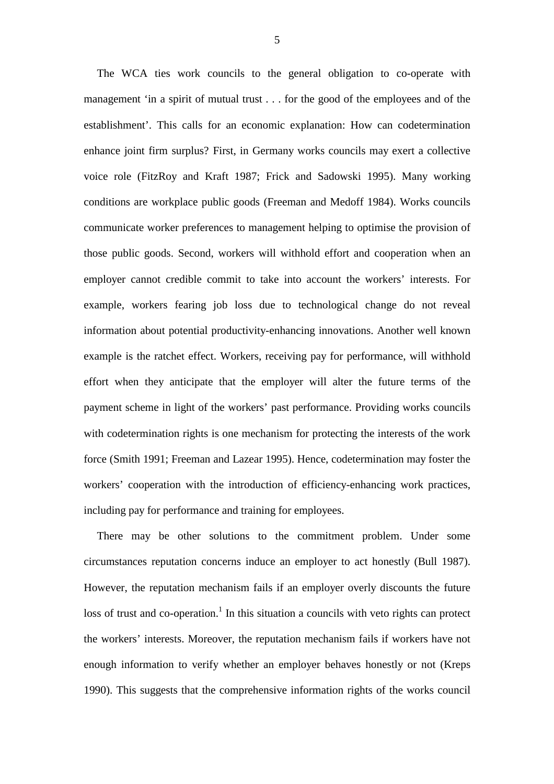The WCA ties work councils to the general obligation to co-operate with management 'in a spirit of mutual trust . . . for the good of the employees and of the establishment'. This calls for an economic explanation: How can codetermination enhance joint firm surplus? First, in Germany works councils may exert a collective voice role (FitzRoy and Kraft 1987; Frick and Sadowski 1995). Many working conditions are workplace public goods (Freeman and Medoff 1984). Works councils communicate worker preferences to management helping to optimise the provision of those public goods. Second, workers will withhold effort and cooperation when an employer cannot credible commit to take into account the workers' interests. For example, workers fearing job loss due to technological change do not reveal information about potential productivity-enhancing innovations. Another well known example is the ratchet effect. Workers, receiving pay for performance, will withhold effort when they anticipate that the employer will alter the future terms of the payment scheme in light of the workers' past performance. Providing works councils with codetermination rights is one mechanism for protecting the interests of the work force (Smith 1991; Freeman and Lazear 1995). Hence, codetermination may foster the workers' cooperation with the introduction of efficiency-enhancing work practices, including pay for performance and training for employees.

There may be other solutions to the commitment problem. Under some circumstances reputation concerns induce an employer to act honestly (Bull 1987). However, the reputation mechanism fails if an employer overly discounts the future loss of trust and co-operation.<sup>1</sup> In this situation a councils with veto rights can protect the workers' interests. Moreover, the reputation mechanism fails if workers have not enough information to verify whether an employer behaves honestly or not (Kreps 1990). This suggests that the comprehensive information rights of the works council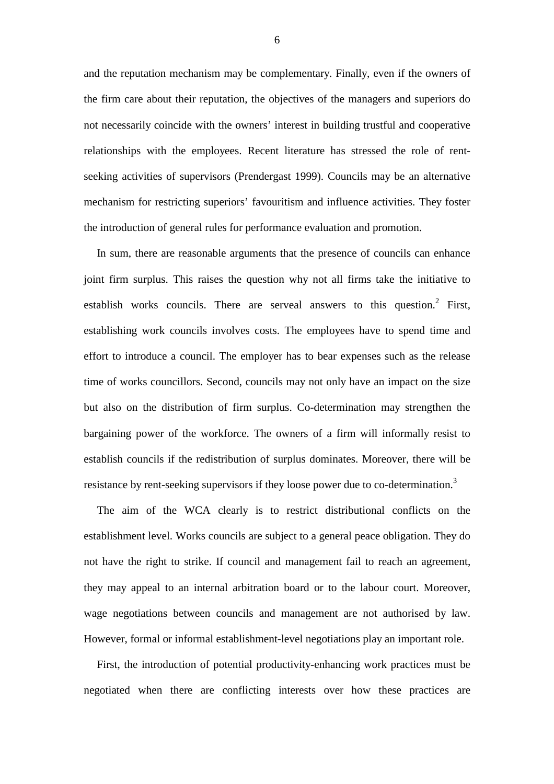and the reputation mechanism may be complementary. Finally, even if the owners of the firm care about their reputation, the objectives of the managers and superiors do not necessarily coincide with the owners' interest in building trustful and cooperative relationships with the employees. Recent literature has stressed the role of rentseeking activities of supervisors (Prendergast 1999). Councils may be an alternative mechanism for restricting superiors' favouritism and influence activities. They foster the introduction of general rules for performance evaluation and promotion.

In sum, there are reasonable arguments that the presence of councils can enhance joint firm surplus. This raises the question why not all firms take the initiative to establish works councils. There are serveal answers to this question.<sup>2</sup> First, establishing work councils involves costs. The employees have to spend time and effort to introduce a council. The employer has to bear expenses such as the release time of works councillors. Second, councils may not only have an impact on the size but also on the distribution of firm surplus. Co-determination may strengthen the bargaining power of the workforce. The owners of a firm will informally resist to establish councils if the redistribution of surplus dominates. Moreover, there will be resistance by rent-seeking supervisors if they loose power due to co-determination.<sup>3</sup>

The aim of the WCA clearly is to restrict distributional conflicts on the establishment level. Works councils are subject to a general peace obligation. They do not have the right to strike. If council and management fail to reach an agreement, they may appeal to an internal arbitration board or to the labour court. Moreover, wage negotiations between councils and management are not authorised by law. However, formal or informal establishment-level negotiations play an important role.

First, the introduction of potential productivity-enhancing work practices must be negotiated when there are conflicting interests over how these practices are

6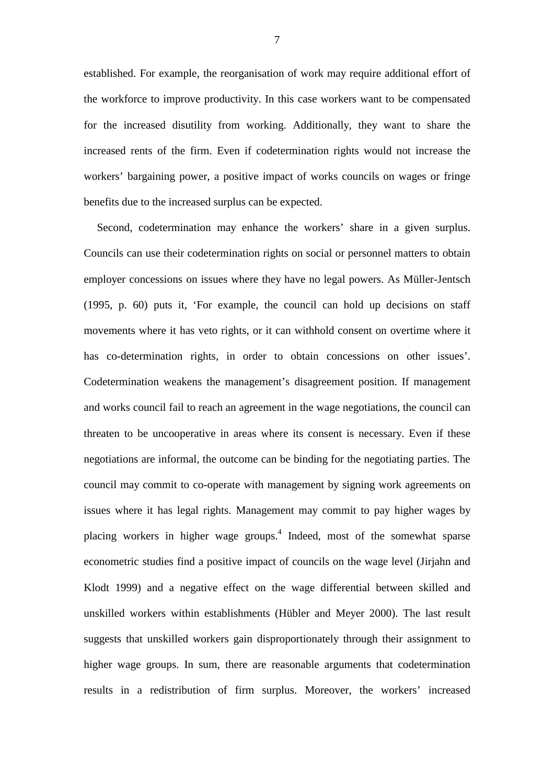established. For example, the reorganisation of work may require additional effort of the workforce to improve productivity. In this case workers want to be compensated for the increased disutility from working. Additionally, they want to share the increased rents of the firm. Even if codetermination rights would not increase the workers' bargaining power, a positive impact of works councils on wages or fringe benefits due to the increased surplus can be expected.

Second, codetermination may enhance the workers' share in a given surplus. Councils can use their codetermination rights on social or personnel matters to obtain employer concessions on issues where they have no legal powers. As Müller-Jentsch (1995, p. 60) puts it, 'For example, the council can hold up decisions on staff movements where it has veto rights, or it can withhold consent on overtime where it has co-determination rights, in order to obtain concessions on other issues'. Codetermination weakens the management's disagreement position. If management and works council fail to reach an agreement in the wage negotiations, the council can threaten to be uncooperative in areas where its consent is necessary. Even if these negotiations are informal, the outcome can be binding for the negotiating parties. The council may commit to co-operate with management by signing work agreements on issues where it has legal rights. Management may commit to pay higher wages by placing workers in higher wage groups.<sup>4</sup> Indeed, most of the somewhat sparse econometric studies find a positive impact of councils on the wage level (Jirjahn and Klodt 1999) and a negative effect on the wage differential between skilled and unskilled workers within establishments (Hübler and Meyer 2000). The last result suggests that unskilled workers gain disproportionately through their assignment to higher wage groups. In sum, there are reasonable arguments that codetermination results in a redistribution of firm surplus. Moreover, the workers' increased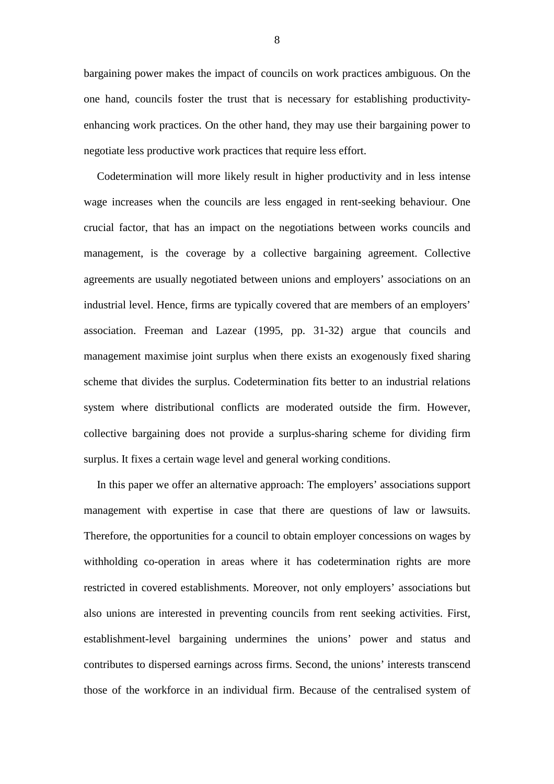bargaining power makes the impact of councils on work practices ambiguous. On the one hand, councils foster the trust that is necessary for establishing productivityenhancing work practices. On the other hand, they may use their bargaining power to negotiate less productive work practices that require less effort.

Codetermination will more likely result in higher productivity and in less intense wage increases when the councils are less engaged in rent-seeking behaviour. One crucial factor, that has an impact on the negotiations between works councils and management, is the coverage by a collective bargaining agreement. Collective agreements are usually negotiated between unions and employers' associations on an industrial level. Hence, firms are typically covered that are members of an employers' association. Freeman and Lazear (1995, pp. 31-32) argue that councils and management maximise joint surplus when there exists an exogenously fixed sharing scheme that divides the surplus. Codetermination fits better to an industrial relations system where distributional conflicts are moderated outside the firm. However, collective bargaining does not provide a surplus-sharing scheme for dividing firm surplus. It fixes a certain wage level and general working conditions.

In this paper we offer an alternative approach: The employers' associations support management with expertise in case that there are questions of law or lawsuits. Therefore, the opportunities for a council to obtain employer concessions on wages by withholding co-operation in areas where it has codetermination rights are more restricted in covered establishments. Moreover, not only employers' associations but also unions are interested in preventing councils from rent seeking activities. First, establishment-level bargaining undermines the unions' power and status and contributes to dispersed earnings across firms. Second, the unions' interests transcend those of the workforce in an individual firm. Because of the centralised system of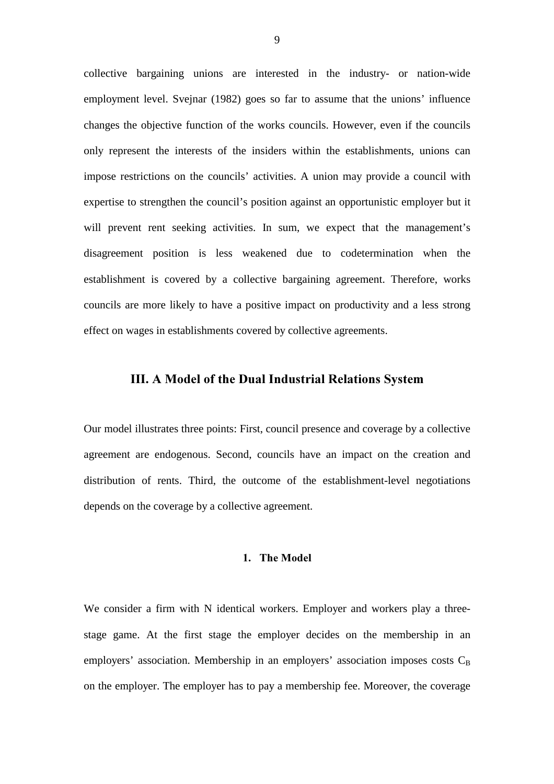collective bargaining unions are interested in the industry- or nation-wide employment level. Svejnar (1982) goes so far to assume that the unions' influence changes the objective function of the works councils. However, even if the councils only represent the interests of the insiders within the establishments, unions can impose restrictions on the councils' activities. A union may provide a council with expertise to strengthen the council's position against an opportunistic employer but it will prevent rent seeking activities. In sum, we expect that the management's disagreement position is less weakened due to codetermination when the establishment is covered by a collective bargaining agreement. Therefore, works councils are more likely to have a positive impact on productivity and a less strong effect on wages in establishments covered by collective agreements.

## III. A Model of the Dual Industrial Relations System

Our model illustrates three points: First, council presence and coverage by a collective agreement are endogenous. Second, councils have an impact on the creation and distribution of rents. Third, the outcome of the establishment-level negotiations depends on the coverage by a collective agreement.

#### 1. The Model

We consider a firm with N identical workers. Employer and workers play a threestage game. At the first stage the employer decides on the membership in an employers' association. Membership in an employers' association imposes costs  $C_B$ on the employer. The employer has to pay a membership fee. Moreover, the coverage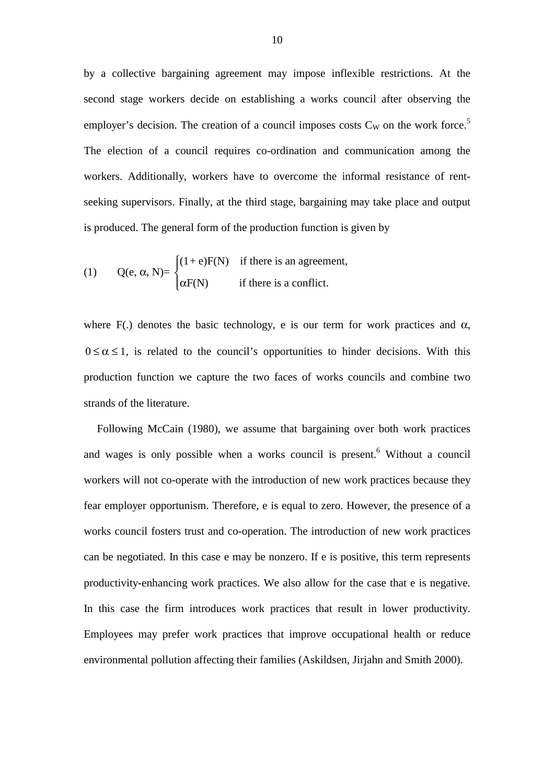by a collective bargaining agreement may impose inflexible restrictions. At the second stage workers decide on establishing a works council after observing the employer's decision. The creation of a council imposes costs  $C_W$  on the work force.<sup>5</sup> The election of a council requires co-ordination and communication among the workers. Additionally, workers have to overcome the informal resistance of rentseeking supervisors. Finally, at the third stage, bargaining may take place and output is produced. The general form of the production function is given by

(1) 
$$
Q(e, \alpha, N) = \begin{cases} (1 + e)F(N) & \text{if there is an agreement,} \\ \alpha F(N) & \text{if there is a conflict.} \end{cases}
$$

where F(.) denotes the basic technology, e is our term for work practices and  $\alpha$ ,  $0 \le \alpha \le 1$ , is related to the council's opportunities to hinder decisions. With this production function we capture the two faces of works councils and combine two strands of the literature.

Following McCain (1980), we assume that bargaining over both work practices and wages is only possible when a works council is present.<sup>6</sup> Without a council workers will not co-operate with the introduction of new work practices because they fear employer opportunism. Therefore, e is equal to zero. However, the presence of a works council fosters trust and co-operation. The introduction of new work practices can be negotiated. In this case e may be nonzero. If e is positive, this term represents productivity-enhancing work practices. We also allow for the case that e is negative. In this case the firm introduces work practices that result in lower productivity. Employees may prefer work practices that improve occupational health or reduce environmental pollution affecting their families (Askildsen, Jirjahn and Smith 2000).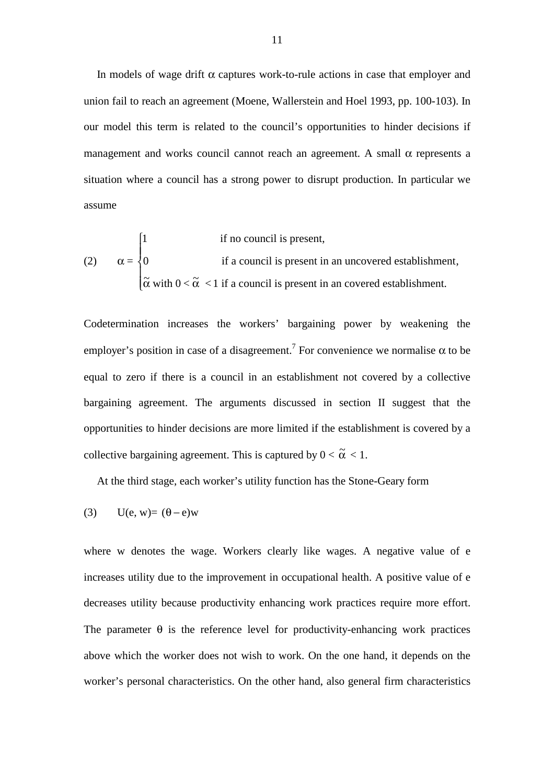In models of wage drift  $\alpha$  captures work-to-rule actions in case that employer and union fail to reach an agreement (Moene, Wallerstein and Hoel 1993, pp. 100-103). In our model this term is related to the council's opportunities to hinder decisions if management and works council cannot reach an agreement. A small  $\alpha$  represents a situation where a council has a strong power to disrupt production. In particular we assume

(2) 
$$
\alpha = \begin{cases} 1 & \text{if no council is present,} \\ 0 & \text{if a council is present in an uncovered establishment,} \\ \tilde{\alpha} & \text{with } 0 < \tilde{\alpha} < 1 \text{ if a council is present in an covered establishment.} \end{cases}
$$

Codetermination increases the workers' bargaining power by weakening the employer's position in case of a disagreement.<sup>7</sup> For convenience we normalise  $\alpha$  to be equal to zero if there is a council in an establishment not covered by a collective bargaining agreement. The arguments discussed in section II suggest that the opportunities to hinder decisions are more limited if the establishment is covered by a collective bargaining agreement. This is captured by  $0 < \tilde{\alpha} < 1$ .

At the third stage, each worker's utility function has the Stone-Geary form

$$
(3) \qquad U(e, w) = (\theta - e)w
$$

where w denotes the wage. Workers clearly like wages. A negative value of e increases utility due to the improvement in occupational health. A positive value of e decreases utility because productivity enhancing work practices require more effort. The parameter  $\theta$  is the reference level for productivity-enhancing work practices above which the worker does not wish to work. On the one hand, it depends on the worker's personal characteristics. On the other hand, also general firm characteristics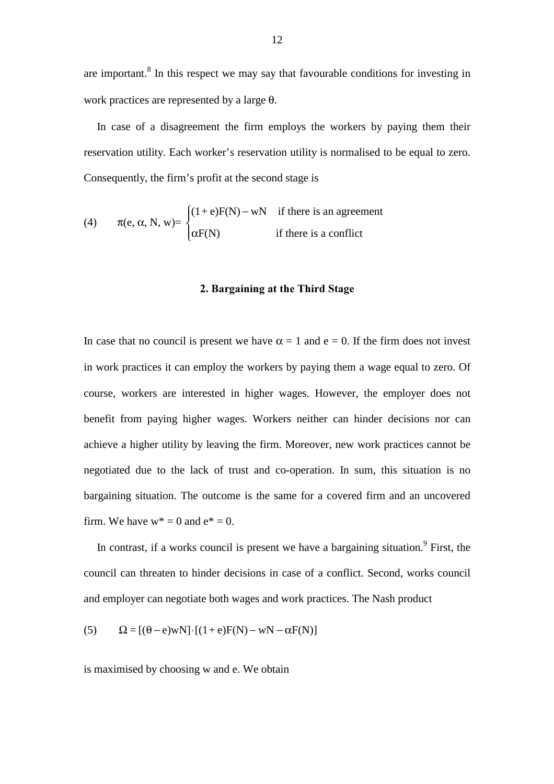are important.<sup>8</sup> In this respect we may say that favourable conditions for investing in work practices are represented by a large θ.

In case of a disagreement the firm employs the workers by paying them their reservation utility. Each worker's reservation utility is normalised to be equal to zero. Consequently, the firm's profit at the second stage is

(4) 
$$
\pi(e, \alpha, N, w) = \begin{cases} (1+e)F(N) - wN & \text{if there is an agreement} \\ \alpha F(N) & \text{if there is a conflict} \end{cases}
$$

#### 2. Bargaining at the Third Stage

In case that no council is present we have  $\alpha = 1$  and  $e = 0$ . If the firm does not invest in work practices it can employ the workers by paying them a wage equal to zero. Of course, workers are interested in higher wages. However, the employer does not benefit from paying higher wages. Workers neither can hinder decisions nor can achieve a higher utility by leaving the firm. Moreover, new work practices cannot be negotiated due to the lack of trust and co-operation. In sum, this situation is no bargaining situation. The outcome is the same for a covered firm and an uncovered firm. We have  $w^* = 0$  and  $e^* = 0$ .

In contrast, if a works council is present we have a bargaining situation.<sup>9</sup> First, the council can threaten to hinder decisions in case of a conflict. Second, works council and employer can negotiate both wages and work practices. The Nash product

(5) 
$$
\Omega = [(\theta - e)wN] \cdot [(1 + e)F(N) - wN - \alpha F(N)]
$$

is maximised by choosing w and e. We obtain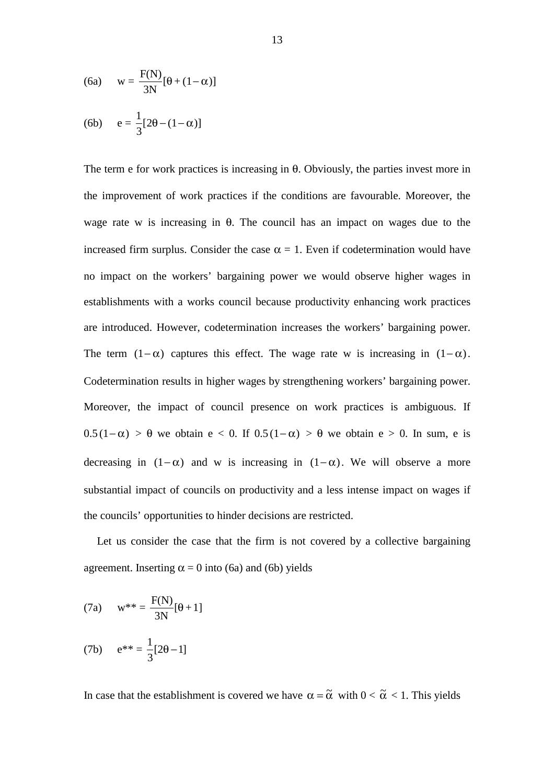(6a) 
$$
w = \frac{F(N)}{3N} [\theta + (1 - \alpha)]
$$
  
(6b) 
$$
e = \frac{1}{3} [2\theta - (1 - \alpha)]
$$

The term e for work practices is increasing in θ. Obviously, the parties invest more in the improvement of work practices if the conditions are favourable. Moreover, the wage rate w is increasing in  $\theta$ . The council has an impact on wages due to the increased firm surplus. Consider the case  $\alpha = 1$ . Even if codetermination would have no impact on the workers' bargaining power we would observe higher wages in establishments with a works council because productivity enhancing work practices are introduced. However, codetermination increases the workers' bargaining power. The term  $(1 - \alpha)$  captures this effect. The wage rate w is increasing in  $(1 - \alpha)$ . Codetermination results in higher wages by strengthening workers' bargaining power. Moreover, the impact of council presence on work practices is ambiguous. If  $0.5(1-\alpha) > \theta$  we obtain  $e < 0$ . If  $0.5(1-\alpha) > \theta$  we obtain  $e > 0$ . In sum, e is decreasing in  $(1 - \alpha)$  and w is increasing in  $(1 - \alpha)$ . We will observe a more substantial impact of councils on productivity and a less intense impact on wages if the councils' opportunities to hinder decisions are restricted.

Let us consider the case that the firm is not covered by a collective bargaining agreement. Inserting  $\alpha = 0$  into (6a) and (6b) yields

(7a) 
$$
w^{**} = \frac{F(N)}{3N}[\theta + 1]
$$

(7b) 
$$
e^{**} = \frac{1}{3}[2\theta - 1]
$$

In case that the establishment is covered we have  $\alpha = \tilde{\alpha}$  with  $0 < \tilde{\alpha} < 1$ . This yields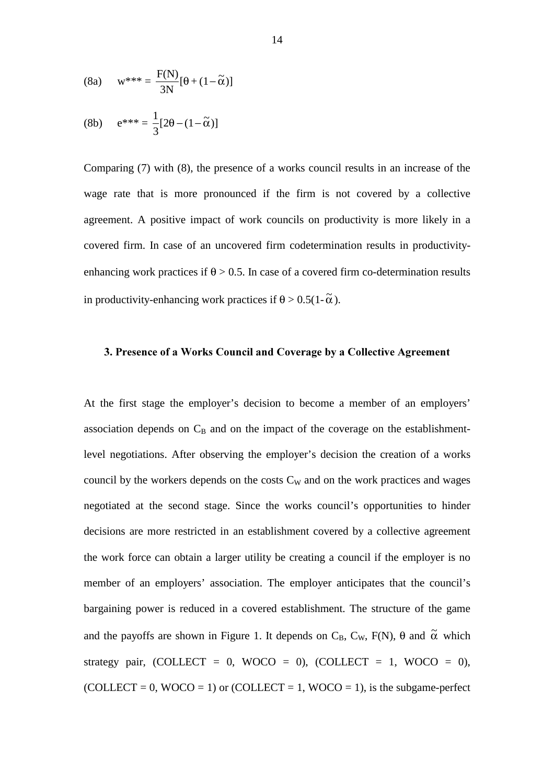(8a) 
$$
w^{***} = \frac{F(N)}{3N}[\theta + (1-\tilde{\alpha})]
$$

$$
(8b) \qquad e^{***} = \frac{1}{3}[2\theta - (1 - \tilde{\alpha})]
$$

Comparing (7) with (8), the presence of a works council results in an increase of the wage rate that is more pronounced if the firm is not covered by a collective agreement. A positive impact of work councils on productivity is more likely in a covered firm. In case of an uncovered firm codetermination results in productivityenhancing work practices if  $\theta$  > 0.5. In case of a covered firm co-determination results in productivity-enhancing work practices if  $\theta > 0.5(1-\tilde{\alpha})$ .

#### 3. Presence of a Works Council and Coverage by a Collective Agreement

At the first stage the employer's decision to become a member of an employers' association depends on  $C_B$  and on the impact of the coverage on the establishmentlevel negotiations. After observing the employer's decision the creation of a works council by the workers depends on the costs  $C_W$  and on the work practices and wages negotiated at the second stage. Since the works council's opportunities to hinder decisions are more restricted in an establishment covered by a collective agreement the work force can obtain a larger utility be creating a council if the employer is no member of an employers' association. The employer anticipates that the council's bargaining power is reduced in a covered establishment. The structure of the game and the payoffs are shown in Figure 1. It depends on  $C_B$ ,  $C_W$ ,  $F(N)$ ,  $\theta$  and  $\tilde{\alpha}$  which strategy pair, (COLLECT =  $0$ , WOCO =  $0$ ), (COLLECT = 1, WOCO =  $0$ ),  $(COLLECT = 0, WOCO = 1)$  or  $(COLLECT = 1, WOCO = 1)$ , is the subgame-perfect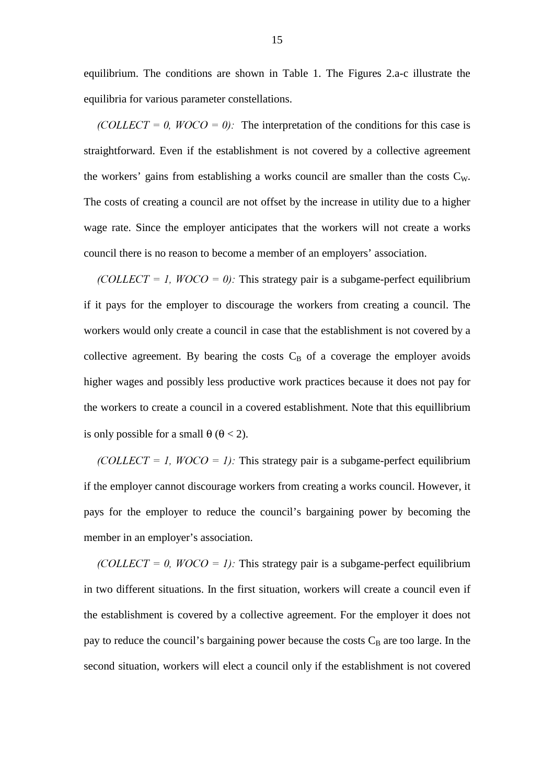equilibrium. The conditions are shown in Table 1. The Figures 2.a-c illustrate the equilibria for various parameter constellations.

 $(COLLECT = 0, WOCO = 0)$ . The interpretation of the conditions for this case is straightforward. Even if the establishment is not covered by a collective agreement the workers' gains from establishing a works council are smaller than the costs  $C_W$ . The costs of creating a council are not offset by the increase in utility due to a higher wage rate. Since the employer anticipates that the workers will not create a works council there is no reason to become a member of an employers' association.

(COLLECT = 1,  $WOCO = 0$ ): This strategy pair is a subgame-perfect equilibrium if it pays for the employer to discourage the workers from creating a council. The workers would only create a council in case that the establishment is not covered by a collective agreement. By bearing the costs  $C_B$  of a coverage the employer avoids higher wages and possibly less productive work practices because it does not pay for the workers to create a council in a covered establishment. Note that this equillibrium is only possible for a small  $\theta$  ( $\theta$  < 2).

 $(COLLECT = 1, WOCO = 1)$ : This strategy pair is a subgame-perfect equilibrium if the employer cannot discourage workers from creating a works council. However, it pays for the employer to reduce the council's bargaining power by becoming the member in an employer's association.

 $(COLLECT = 0, WOCO = 1)$ : This strategy pair is a subgame-perfect equilibrium in two different situations. In the first situation, workers will create a council even if the establishment is covered by a collective agreement. For the employer it does not pay to reduce the council's bargaining power because the costs  $C_B$  are too large. In the second situation, workers will elect a council only if the establishment is not covered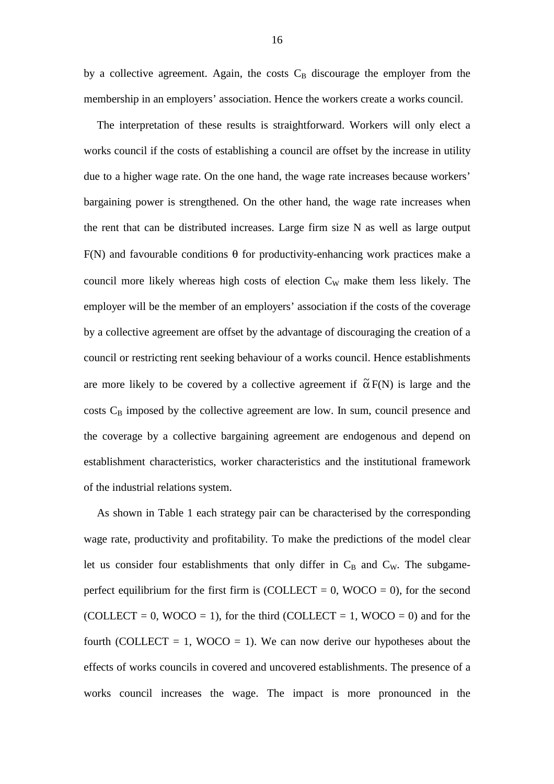by a collective agreement. Again, the costs  $C_B$  discourage the employer from the membership in an employers' association. Hence the workers create a works council.

The interpretation of these results is straightforward. Workers will only elect a works council if the costs of establishing a council are offset by the increase in utility due to a higher wage rate. On the one hand, the wage rate increases because workers' bargaining power is strengthened. On the other hand, the wage rate increases when the rent that can be distributed increases. Large firm size N as well as large output F(N) and favourable conditions  $\theta$  for productivity-enhancing work practices make a council more likely whereas high costs of election  $C_W$  make them less likely. The employer will be the member of an employers' association if the costs of the coverage by a collective agreement are offset by the advantage of discouraging the creation of a council or restricting rent seeking behaviour of a works council. Hence establishments are more likely to be covered by a collective agreement if  $\tilde{\alpha} F(N)$  is large and the  $\cos$ ts  $C_B$  imposed by the collective agreement are low. In sum, council presence and the coverage by a collective bargaining agreement are endogenous and depend on establishment characteristics, worker characteristics and the institutional framework of the industrial relations system.

As shown in Table 1 each strategy pair can be characterised by the corresponding wage rate, productivity and profitability. To make the predictions of the model clear let us consider four establishments that only differ in  $C_B$  and  $C_W$ . The subgameperfect equilibrium for the first firm is  $(COLECT = 0, WOCO = 0)$ , for the second (COLLECT = 0, WOCO = 1), for the third (COLLECT = 1, WOCO = 0) and for the fourth (COLLECT = 1, WOCO = 1). We can now derive our hypotheses about the effects of works councils in covered and uncovered establishments. The presence of a works council increases the wage. The impact is more pronounced in the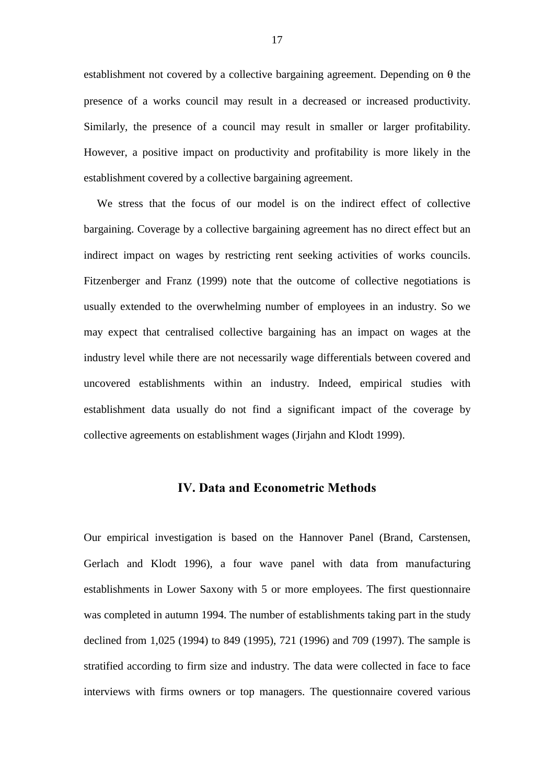establishment not covered by a collective bargaining agreement. Depending on  $\theta$  the presence of a works council may result in a decreased or increased productivity. Similarly, the presence of a council may result in smaller or larger profitability. However, a positive impact on productivity and profitability is more likely in the establishment covered by a collective bargaining agreement.

We stress that the focus of our model is on the indirect effect of collective bargaining. Coverage by a collective bargaining agreement has no direct effect but an indirect impact on wages by restricting rent seeking activities of works councils. Fitzenberger and Franz (1999) note that the outcome of collective negotiations is usually extended to the overwhelming number of employees in an industry. So we may expect that centralised collective bargaining has an impact on wages at the industry level while there are not necessarily wage differentials between covered and uncovered establishments within an industry. Indeed, empirical studies with establishment data usually do not find a significant impact of the coverage by collective agreements on establishment wages (Jirjahn and Klodt 1999).

## IV. Data and Econometric Methods

Our empirical investigation is based on the Hannover Panel (Brand, Carstensen, Gerlach and Klodt 1996), a four wave panel with data from manufacturing establishments in Lower Saxony with 5 or more employees. The first questionnaire was completed in autumn 1994. The number of establishments taking part in the study declined from 1,025 (1994) to 849 (1995), 721 (1996) and 709 (1997). The sample is stratified according to firm size and industry. The data were collected in face to face interviews with firms owners or top managers. The questionnaire covered various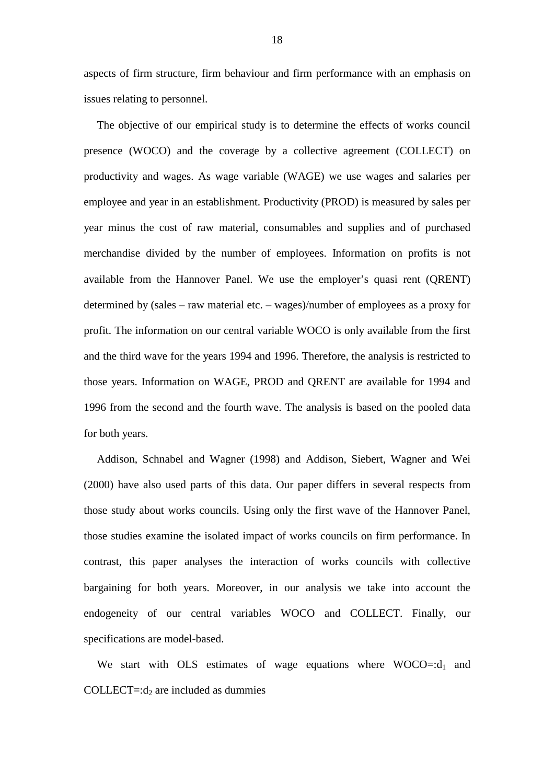aspects of firm structure, firm behaviour and firm performance with an emphasis on issues relating to personnel.

The objective of our empirical study is to determine the effects of works council presence (WOCO) and the coverage by a collective agreement (COLLECT) on productivity and wages. As wage variable (WAGE) we use wages and salaries per employee and year in an establishment. Productivity (PROD) is measured by sales per year minus the cost of raw material, consumables and supplies and of purchased merchandise divided by the number of employees. Information on profits is not available from the Hannover Panel. We use the employer's quasi rent (QRENT) determined by (sales – raw material etc. – wages)/number of employees as a proxy for profit. The information on our central variable WOCO is only available from the first and the third wave for the years 1994 and 1996. Therefore, the analysis is restricted to those years. Information on WAGE, PROD and QRENT are available for 1994 and 1996 from the second and the fourth wave. The analysis is based on the pooled data for both years.

Addison, Schnabel and Wagner (1998) and Addison, Siebert, Wagner and Wei (2000) have also used parts of this data. Our paper differs in several respects from those study about works councils. Using only the first wave of the Hannover Panel, those studies examine the isolated impact of works councils on firm performance. In contrast, this paper analyses the interaction of works councils with collective bargaining for both years. Moreover, in our analysis we take into account the endogeneity of our central variables WOCO and COLLECT. Finally, our specifications are model-based.

We start with OLS estimates of wage equations where  $WOCO = : d_1$  and COLLECT=: $d_2$  are included as dummies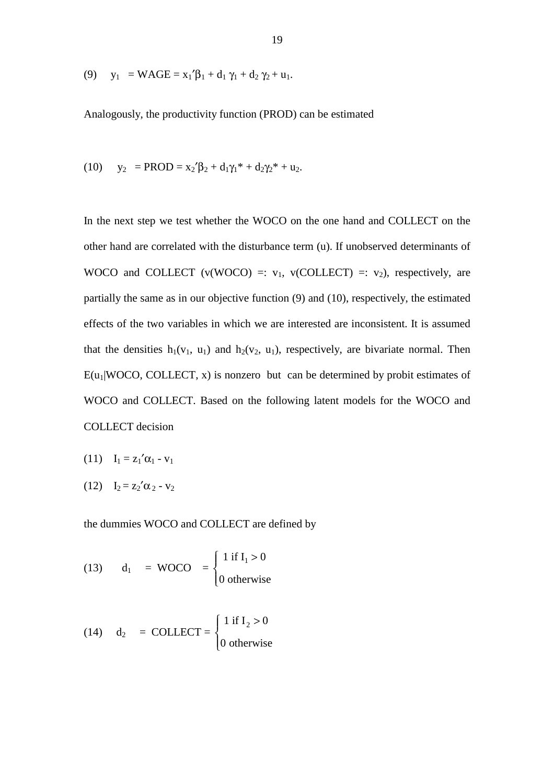(9) 
$$
y_1 = WAGE = x_1'\beta_1 + d_1\gamma_1 + d_2\gamma_2 + u_1.
$$

Analogously, the productivity function (PROD) can be estimated

(10) 
$$
y_2 = PROD = x_2' \beta_2 + d_1 \gamma_1^* + d_2 \gamma_2^* + u_2
$$
.

In the next step we test whether the WOCO on the one hand and COLLECT on the other hand are correlated with the disturbance term (u). If unobserved determinants of WOCO and COLLECT (v(WOCO) =:  $v_1$ , v(COLLECT) =:  $v_2$ ), respectively, are partially the same as in our objective function (9) and (10), respectively, the estimated effects of the two variables in which we are interested are inconsistent. It is assumed that the densities  $h_1(v_1, u_1)$  and  $h_2(v_2, u_1)$ , respectively, are bivariate normal. Then  $E(u_1|WOCO, COLLECT, x)$  is nonzero but can be determined by probit estimates of WOCO and COLLECT. Based on the following latent models for the WOCO and COLLECT decision

- (11)  $I_1 = z_1' \alpha_1 v_1$
- (12)  $I_2 = z_2' \alpha_2 v_2$

the dummies WOCO and COLLECT are defined by

(13) 
$$
d_1 = WOCO = \begin{cases} 1 \text{ if } I_1 > 0 \\ 0 \text{ otherwise} \end{cases}
$$

(14) 
$$
d_2
$$
 = COLLECT = 
$$
\begin{cases} 1 \text{ if } I_2 > 0 \\ 0 \text{ otherwise} \end{cases}
$$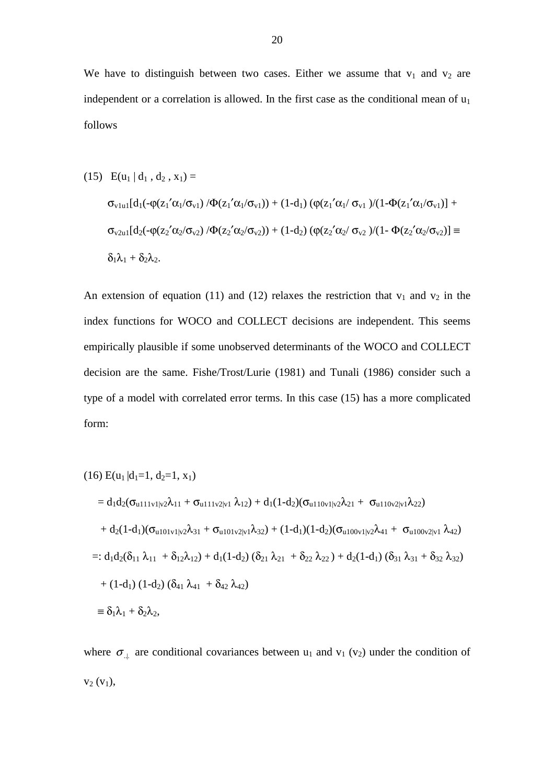We have to distinguish between two cases. Either we assume that  $v_1$  and  $v_2$  are independent or a correlation is allowed. In the first case as the conditional mean of  $u_1$ follows

(15) 
$$
E(u_1 | d_1, d_2, x_1) =
$$

$$
\sigma_{v1u1}[d_1(-\varphi(z_1'\alpha_1/\sigma_{v1})/\Phi(z_1'\alpha_1/\sigma_{v1})) + (1-d_1) (\varphi(z_1'\alpha_1/\sigma_{v1})/(1-\Phi(z_1'\alpha_1/\sigma_{v1})) +
$$

$$
\sigma_{v2u1}[d_2(-\varphi(z_2'\alpha_2/\sigma_{v2})/\Phi(z_2'\alpha_2/\sigma_{v2})) + (1-d_2) (\varphi(z_2'\alpha_2/\sigma_{v2})/(1-\Phi(z_2'\alpha_2/\sigma_{v2})) \equiv
$$

$$
\delta_1\lambda_1 + \delta_2\lambda_2.
$$

An extension of equation (11) and (12) relaxes the restriction that  $v_1$  and  $v_2$  in the index functions for WOCO and COLLECT decisions are independent. This seems empirically plausible if some unobserved determinants of the WOCO and COLLECT decision are the same. Fishe/Trost/Lurie (1981) and Tunali (1986) consider such a type of a model with correlated error terms. In this case (15) has a more complicated form:

$$
(16) E(u_1|d_1=1, d_2=1, x_1)
$$
  
= d<sub>1</sub>d<sub>2</sub>( $\sigma_{u111v1|v2}\lambda_{11} + \sigma_{u111v2|v1} \lambda_{12}$ ) + d<sub>1</sub>(1-d<sub>2</sub>)( $\sigma_{u110v1|v2}\lambda_{21} + \sigma_{u110v2|v1}\lambda_{22}$ )  
+ d<sub>2</sub>(1-d<sub>1</sub>)( $\sigma_{u101v1|v2}\lambda_{31} + \sigma_{u101v2|v1}\lambda_{32}$ ) + (1-d<sub>1</sub>)(1-d<sub>2</sub>)( $\sigma_{u100v1|v2}\lambda_{41} + \sigma_{u100v2|v1} \lambda_{42}$ )  
=: d<sub>1</sub>d<sub>2</sub>( $\delta_{11}$   $\lambda_{11}$  +  $\delta_{12}\lambda_{12}$ ) + d<sub>1</sub>(1-d<sub>2</sub>) ( $\delta_{21}$   $\lambda_{21}$  +  $\delta_{22}$   $\lambda_{22}$ ) + d<sub>2</sub>(1-d<sub>1</sub>) ( $\delta_{31}$   $\lambda_{31}$  +  $\delta_{32}$   $\lambda_{32}$ )  
+ (1-d<sub>1</sub>) (1-d<sub>2</sub>) ( $\delta_{41}$   $\lambda_{41}$  +  $\delta_{42}$   $\lambda_{42}$ )  

$$
\equiv \delta_1\lambda_1 + \delta_2\lambda_2,
$$

where  $\sigma_{\perp}$  are conditional covariances between u<sub>1</sub> and v<sub>1</sub> (v<sub>2</sub>) under the condition of  $v_2 (v_1)$ ,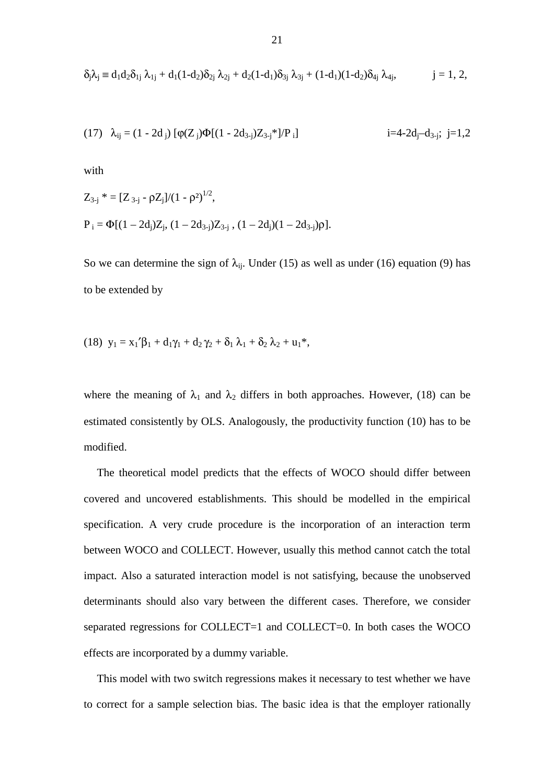$$
\delta_j \lambda_j \equiv d_1 d_2 \delta_{1j} \; \lambda_{1j} + d_1 (1-d_2) \delta_{2j} \; \lambda_{2j} + d_2 (1-d_1) \delta_{3j} \; \lambda_{3j} + (1-d_1) (1-d_2) \delta_{4j} \; \lambda_{4j}, \qquad \qquad j=1, \, 2,
$$

(17) 
$$
\lambda_{ij} = (1 - 2d_j) [\varphi(Z_j)\Phi[(1 - 2d_{3-j})Z_{3-j}^*]/P_i]
$$
   
  $i=4-2d_j-d_{3-j}; j=1,2$ 

with

$$
Z_{3-j}^* = [Z_{3-j} - \rho Z_j]/(1 - \rho^2)^{1/2},
$$
  
\n
$$
P_i = \Phi[(1 - 2d_j)Z_j, (1 - 2d_{3-j})Z_{3-j}, (1 - 2d_j)(1 - 2d_{3-j})\rho].
$$

So we can determine the sign of  $\lambda_{ii}$ . Under (15) as well as under (16) equation (9) has to be extended by

(18) 
$$
y_1 = x_1'\beta_1 + d_1\gamma_1 + d_2\gamma_2 + \delta_1\lambda_1 + \delta_2\lambda_2 + u_1^*
$$
,

where the meaning of  $\lambda_1$  and  $\lambda_2$  differs in both approaches. However, (18) can be estimated consistently by OLS. Analogously, the productivity function (10) has to be modified.

The theoretical model predicts that the effects of WOCO should differ between covered and uncovered establishments. This should be modelled in the empirical specification. A very crude procedure is the incorporation of an interaction term between WOCO and COLLECT. However, usually this method cannot catch the total impact. Also a saturated interaction model is not satisfying, because the unobserved determinants should also vary between the different cases. Therefore, we consider separated regressions for COLLECT=1 and COLLECT=0. In both cases the WOCO effects are incorporated by a dummy variable.

This model with two switch regressions makes it necessary to test whether we have to correct for a sample selection bias. The basic idea is that the employer rationally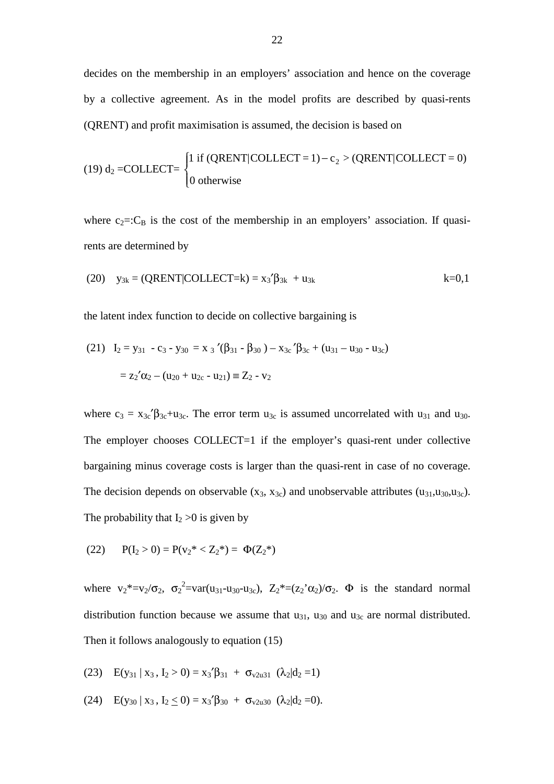decides on the membership in an employers' association and hence on the coverage by a collective agreement. As in the model profits are described by quasi-rents (QRENT) and profit maximisation is assumed, the decision is based on

(19) d<sub>2</sub> =COLLECT = 
$$
\begin{cases} 1 \text{ if (QRENT|COLLECT = 1) – c2 > (QRENT|COLLECT = 0) \\ 0 \text{ otherwise} \end{cases}
$$

where  $c_2 = C_B$  is the cost of the membership in an employers' association. If quasirents are determined by

(20) 
$$
y_{3k} = (QRENT|COLLECT=k) = x_3'\beta_{3k} + u_{3k}
$$
  $k=0,1$ 

the latent index function to decide on collective bargaining is

(21) 
$$
I_2 = y_{31} - c_3 - y_{30} = x_3'(\beta_{31} - \beta_{30}) - x_{3c}'\beta_{3c} + (u_{31} - u_{30} - u_{3c})
$$
  

$$
= z_2'\alpha_2 - (u_{20} + u_{2c} - u_{21}) \equiv Z_2 - v_2
$$

where  $c_3 = x_{3c}$ ' $\beta_{3c} + u_{3c}$ . The error term  $u_{3c}$  is assumed uncorrelated with  $u_{31}$  and  $u_{30}$ . The employer chooses COLLECT=1 if the employer's quasi-rent under collective bargaining minus coverage costs is larger than the quasi-rent in case of no coverage. The decision depends on observable  $(x_3, x_{3c})$  and unobservable attributes  $(u_{31}, u_{30}, u_{3c})$ . The probability that  $I_2 > 0$  is given by

(22) 
$$
P(I_2 > 0) = P(v_2^* < Z_2^*) = \Phi(Z_2^*)
$$

where  $v_2^* = v_2 / \sigma_2$ ,  $\sigma_2^2 = var(u_{31} - u_{30} - u_{3c})$ ,  $Z_2^* = (z_2' \alpha_2) / \sigma_2$ .  $\Phi$  is the standard normal distribution function because we assume that  $u_{31}$ ,  $u_{30}$  and  $u_{3c}$  are normal distributed. Then it follows analogously to equation (15)

(23) 
$$
E(y_{31} | x_3, I_2 > 0) = x_3' \beta_{31} + \sigma_{v2u31} (\lambda_2 | d_2 = 1)
$$

(24)  $E(y_{30} | x_3, I_2 < 0) = x_3' \beta_{30} + \sigma_{v2u30} (\lambda_2 | d_2 = 0).$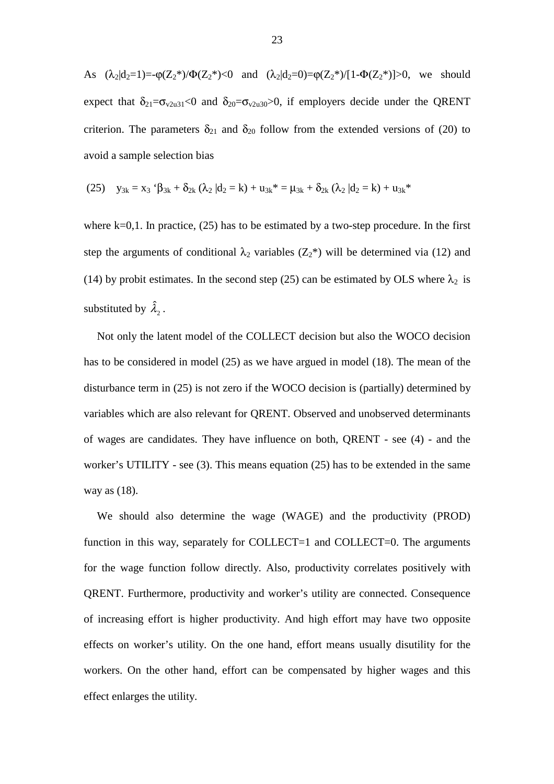As  $(\lambda_2|d_2=1)=-\varphi(Z_2^*)/\Phi(Z_2^*)<0$  and  $(\lambda_2|d_2=0)=\varphi(Z_2^*)/[1-\Phi(Z_2^*)]>0$ , we should expect that  $\delta_{21}=\sigma_{v2u31}<0$  and  $\delta_{20}=\sigma_{v2u30}>0$ , if employers decide under the QRENT criterion. The parameters  $\delta_{21}$  and  $\delta_{20}$  follow from the extended versions of (20) to avoid a sample selection bias

(25) 
$$
y_{3k} = x_3 \, ^t\beta_{3k} + \delta_{2k} (\lambda_2 \, | d_2 = k) + u_{3k}^* = \mu_{3k} + \delta_{2k} (\lambda_2 \, | d_2 = k) + u_{3k}^*
$$

where  $k=0,1$ . In practice, (25) has to be estimated by a two-step procedure. In the first step the arguments of conditional  $\lambda_2$  variables ( $Z_2^*$ ) will be determined via (12) and (14) by probit estimates. In the second step (25) can be estimated by OLS where  $\lambda_2$  is substituted by  $\hat{\lambda}_2$ .

Not only the latent model of the COLLECT decision but also the WOCO decision has to be considered in model (25) as we have argued in model (18). The mean of the disturbance term in (25) is not zero if the WOCO decision is (partially) determined by variables which are also relevant for QRENT. Observed and unobserved determinants of wages are candidates. They have influence on both, QRENT - see (4) - and the worker's UTILITY - see (3). This means equation (25) has to be extended in the same way as (18).

We should also determine the wage (WAGE) and the productivity (PROD) function in this way, separately for COLLECT=1 and COLLECT=0. The arguments for the wage function follow directly. Also, productivity correlates positively with QRENT. Furthermore, productivity and worker's utility are connected. Consequence of increasing effort is higher productivity. And high effort may have two opposite effects on worker's utility. On the one hand, effort means usually disutility for the workers. On the other hand, effort can be compensated by higher wages and this effect enlarges the utility.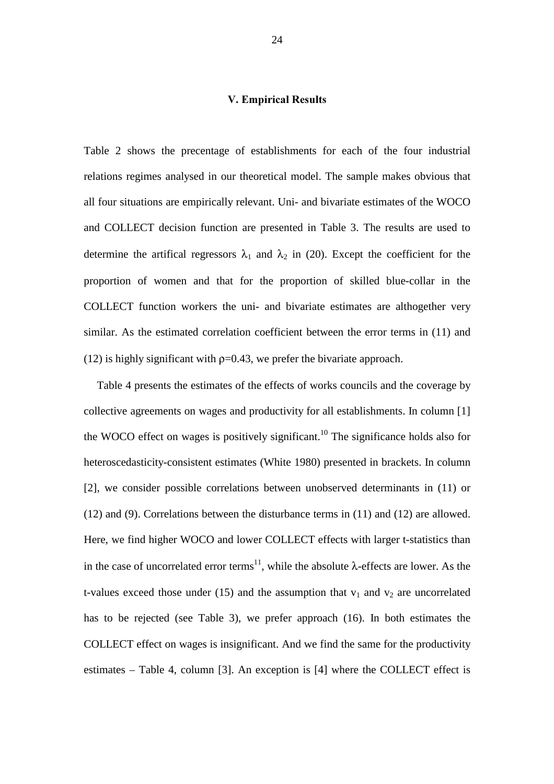#### **V. Empirical Results**

Table 2 shows the precentage of establishments for each of the four industrial relations regimes analysed in our theoretical model. The sample makes obvious that all four situations are empirically relevant. Uni- and bivariate estimates of the WOCO and COLLECT decision function are presented in Table 3. The results are used to determine the artifical regressors  $\lambda_1$  and  $\lambda_2$  in (20). Except the coefficient for the proportion of women and that for the proportion of skilled blue-collar in the COLLECT function workers the uni- and bivariate estimates are althogether very similar. As the estimated correlation coefficient between the error terms in (11) and (12) is highly significant with  $p=0.43$ , we prefer the bivariate approach.

Table 4 presents the estimates of the effects of works councils and the coverage by collective agreements on wages and productivity for all establishments. In column [1] the WOCO effect on wages is positively significant.<sup>10</sup> The significance holds also for heteroscedasticity-consistent estimates (White 1980) presented in brackets. In column [2], we consider possible correlations between unobserved determinants in (11) or (12) and (9). Correlations between the disturbance terms in (11) and (12) are allowed. Here, we find higher WOCO and lower COLLECT effects with larger t-statistics than in the case of uncorrelated error terms<sup>11</sup>, while the absolute  $\lambda$ -effects are lower. As the t-values exceed those under (15) and the assumption that  $v_1$  and  $v_2$  are uncorrelated has to be rejected (see Table 3), we prefer approach (16). In both estimates the COLLECT effect on wages is insignificant. And we find the same for the productivity estimates – Table 4, column [3]. An exception is [4] where the COLLECT effect is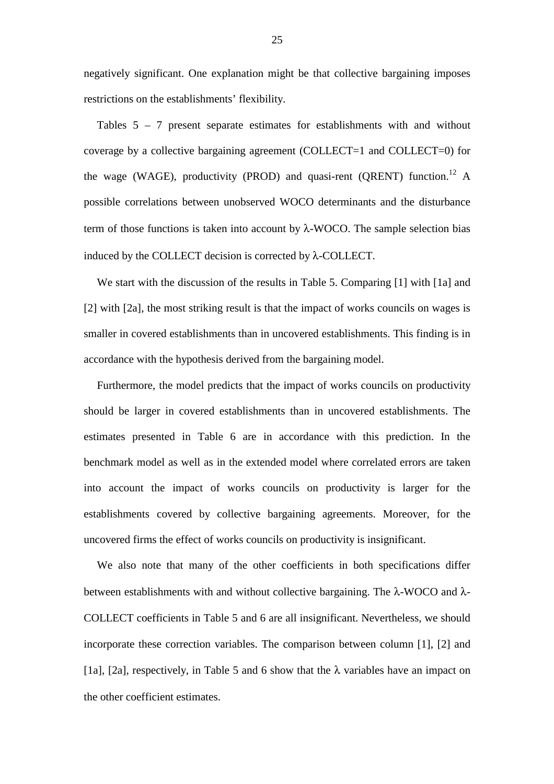negatively significant. One explanation might be that collective bargaining imposes restrictions on the establishments' flexibility.

Tables 5 – 7 present separate estimates for establishments with and without coverage by a collective bargaining agreement (COLLECT=1 and COLLECT=0) for the wage (WAGE), productivity (PROD) and quasi-rent (QRENT) function.<sup>12</sup> A possible correlations between unobserved WOCO determinants and the disturbance term of those functions is taken into account by  $\lambda$ -WOCO. The sample selection bias induced by the COLLECT decision is corrected by λ-COLLECT.

We start with the discussion of the results in Table 5. Comparing [1] with [1a] and [2] with [2a], the most striking result is that the impact of works councils on wages is smaller in covered establishments than in uncovered establishments. This finding is in accordance with the hypothesis derived from the bargaining model.

Furthermore, the model predicts that the impact of works councils on productivity should be larger in covered establishments than in uncovered establishments. The estimates presented in Table 6 are in accordance with this prediction. In the benchmark model as well as in the extended model where correlated errors are taken into account the impact of works councils on productivity is larger for the establishments covered by collective bargaining agreements. Moreover, for the uncovered firms the effect of works councils on productivity is insignificant.

We also note that many of the other coefficients in both specifications differ between establishments with and without collective bargaining. The  $\lambda$ -WOCO and  $\lambda$ -COLLECT coefficients in Table 5 and 6 are all insignificant. Nevertheless, we should incorporate these correction variables. The comparison between column [1], [2] and [1a], [2a], respectively, in Table 5 and 6 show that the  $\lambda$  variables have an impact on the other coefficient estimates.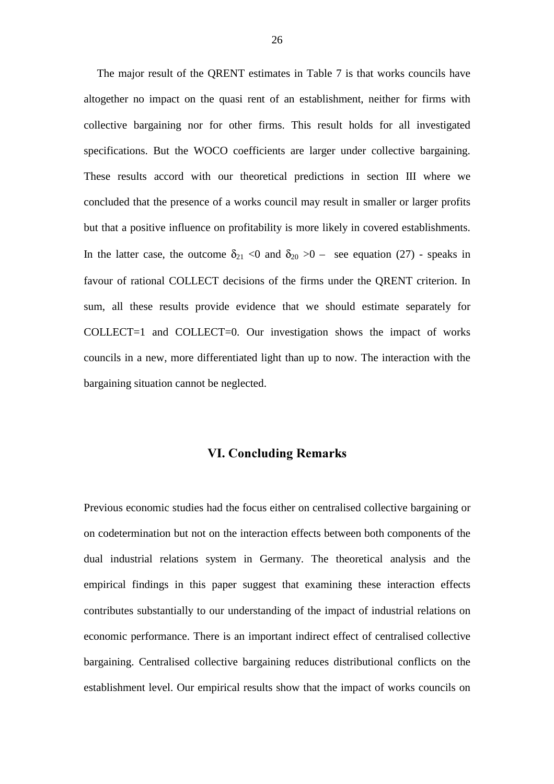The major result of the QRENT estimates in Table 7 is that works councils have altogether no impact on the quasi rent of an establishment, neither for firms with collective bargaining nor for other firms. This result holds for all investigated specifications. But the WOCO coefficients are larger under collective bargaining. These results accord with our theoretical predictions in section III where we concluded that the presence of a works council may result in smaller or larger profits but that a positive influence on profitability is more likely in covered establishments. In the latter case, the outcome  $\delta_{21}$  <0 and  $\delta_{20}$  >0 – see equation (27) - speaks in favour of rational COLLECT decisions of the firms under the QRENT criterion. In sum, all these results provide evidence that we should estimate separately for COLLECT=1 and COLLECT=0. Our investigation shows the impact of works councils in a new, more differentiated light than up to now. The interaction with the bargaining situation cannot be neglected.

# **VI. Concluding Remarks**

Previous economic studies had the focus either on centralised collective bargaining or on codetermination but not on the interaction effects between both components of the dual industrial relations system in Germany. The theoretical analysis and the empirical findings in this paper suggest that examining these interaction effects contributes substantially to our understanding of the impact of industrial relations on economic performance. There is an important indirect effect of centralised collective bargaining. Centralised collective bargaining reduces distributional conflicts on the establishment level. Our empirical results show that the impact of works councils on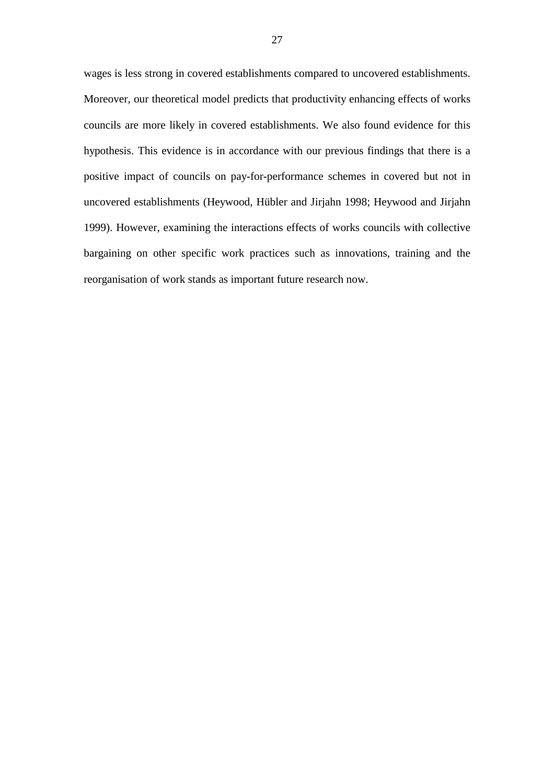wages is less strong in covered establishments compared to uncovered establishments. Moreover, our theoretical model predicts that productivity enhancing effects of works councils are more likely in covered establishments. We also found evidence for this hypothesis. This evidence is in accordance with our previous findings that there is a positive impact of councils on pay-for-performance schemes in covered but not in uncovered establishments (Heywood, Hübler and Jirjahn 1998; Heywood and Jirjahn 1999). However, examining the interactions effects of works councils with collective bargaining on other specific work practices such as innovations, training and the reorganisation of work stands as important future research now.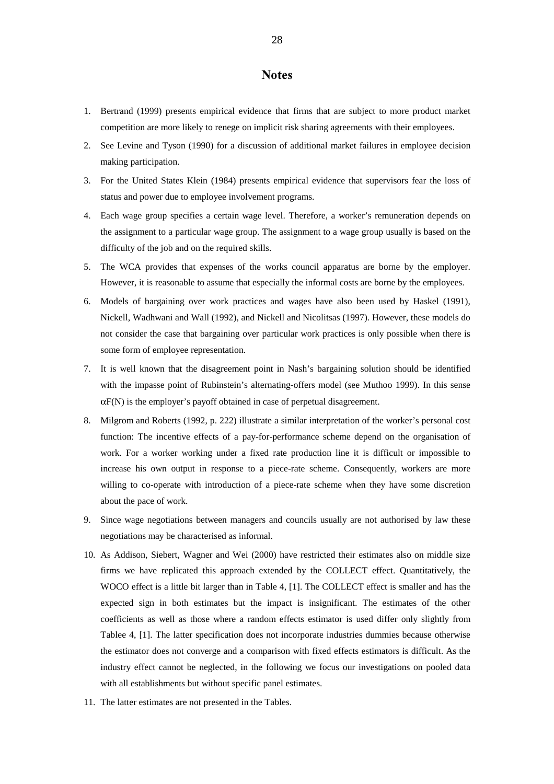## **Notes**

- 1. Bertrand (1999) presents empirical evidence that firms that are subject to more product market competition are more likely to renege on implicit risk sharing agreements with their employees.
- 2. See Levine and Tyson (1990) for a discussion of additional market failures in employee decision making participation.
- 3. For the United States Klein (1984) presents empirical evidence that supervisors fear the loss of status and power due to employee involvement programs.
- 4. Each wage group specifies a certain wage level. Therefore, a worker's remuneration depends on the assignment to a particular wage group. The assignment to a wage group usually is based on the difficulty of the job and on the required skills.
- 5. The WCA provides that expenses of the works council apparatus are borne by the employer. However, it is reasonable to assume that especially the informal costs are borne by the employees.
- 6. Models of bargaining over work practices and wages have also been used by Haskel (1991), Nickell, Wadhwani and Wall (1992), and Nickell and Nicolitsas (1997). However, these models do not consider the case that bargaining over particular work practices is only possible when there is some form of employee representation.
- 7. It is well known that the disagreement point in Nash's bargaining solution should be identified with the impasse point of Rubinstein's alternating-offers model (see Muthoo 1999). In this sense αF(N) is the employer's payoff obtained in case of perpetual disagreement.
- 8. Milgrom and Roberts (1992, p. 222) illustrate a similar interpretation of the worker's personal cost function: The incentive effects of a pay-for-performance scheme depend on the organisation of work. For a worker working under a fixed rate production line it is difficult or impossible to increase his own output in response to a piece-rate scheme. Consequently, workers are more willing to co-operate with introduction of a piece-rate scheme when they have some discretion about the pace of work.
- 9. Since wage negotiations between managers and councils usually are not authorised by law these negotiations may be characterised as informal.
- 10. As Addison, Siebert, Wagner and Wei (2000) have restricted their estimates also on middle size firms we have replicated this approach extended by the COLLECT effect. Quantitatively, the WOCO effect is a little bit larger than in Table 4, [1]. The COLLECT effect is smaller and has the expected sign in both estimates but the impact is insignificant. The estimates of the other coefficients as well as those where a random effects estimator is used differ only slightly from Tablee 4, [1]. The latter specification does not incorporate industries dummies because otherwise the estimator does not converge and a comparison with fixed effects estimators is difficult. As the industry effect cannot be neglected, in the following we focus our investigations on pooled data with all establishments but without specific panel estimates.
- 11. The latter estimates are not presented in the Tables.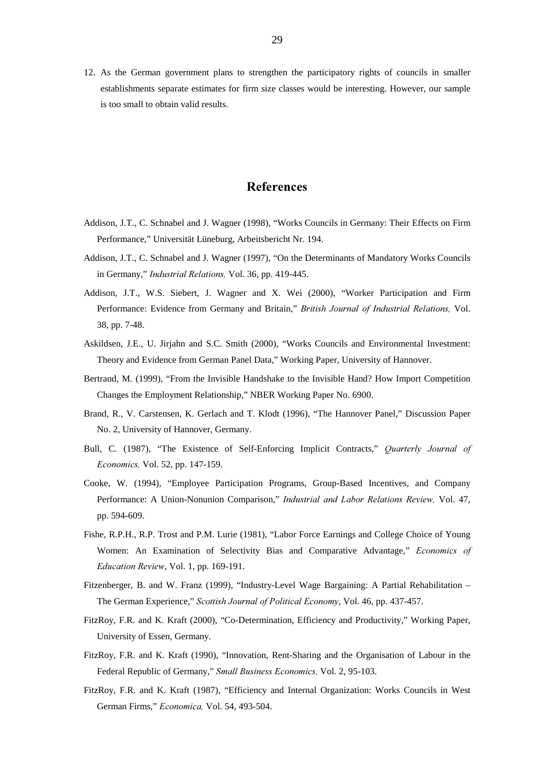12. As the German government plans to strengthen the participatory rights of councils in smaller establishments separate estimates for firm size classes would be interesting. However, our sample is too small to obtain valid results.

## **References**

- Addison, J.T., C. Schnabel and J. Wagner (1998), "Works Councils in Germany: Their Effects on Firm Performance," Universität Lüneburg, Arbeitsbericht Nr. 194.
- Addison, J.T., C. Schnabel and J. Wagner (1997), "On the Determinants of Mandatory Works Councils in Germany," Industrial Relations, Vol. 36, pp. 419-445.
- Addison, J.T., W.S. Siebert, J. Wagner and X. Wei (2000), "Worker Participation and Firm Performance: Evidence from Germany and Britain," British Journal of Industrial Relations, Vol. 38, pp. 7-48.
- Askildsen, J.E., U. Jirjahn and S.C. Smith (2000), "Works Councils and Environmental Investment: Theory and Evidence from German Panel Data," Working Paper, University of Hannover.
- Bertrand, M. (1999), "From the Invisible Handshake to the Invisible Hand? How Import Competition Changes the Employment Relationship," NBER Working Paper No. 6900.
- Brand, R., V. Carstensen, K. Gerlach and T. Klodt (1996), "The Hannover Panel," Discussion Paper No. 2, University of Hannover, Germany.
- Bull, C. (1987), "The Existence of Self-Enforcing Implicit Contracts," Quarterly Journal of *Economics*, Vol. 52, pp. 147-159.
- Cooke, W. (1994), "Employee Participation Programs, Group-Based Incentives, and Company Performance: A Union-Nonunion Comparison," Industrial and Labor Relations Review, Vol. 47, pp. 594-609.
- Fishe, R.P.H., R.P. Trost and P.M. Lurie (1981), "Labor Force Earnings and College Choice of Young Women: An Examination of Selectivity Bias and Comparative Advantage," Economics of Education Review, Vol. 1, pp. 169-191.
- Fitzenberger, B. and W. Franz (1999), "Industry-Level Wage Bargaining: A Partial Rehabilitation The German Experience," Scottish Journal of Political Economy, Vol. 46, pp. 437-457.
- FitzRoy, F.R. and K. Kraft (2000), "Co-Determination, Efficiency and Productivity," Working Paper, University of Essen, Germany.
- FitzRoy, F.R. and K. Kraft (1990), "Innovation, Rent-Sharing and the Organisation of Labour in the Federal Republic of Germany," Small Business Economics, Vol. 2, 95-103.
- FitzRoy, F.R. and K. Kraft (1987), "Efficiency and Internal Organization: Works Councils in West German Firms," Economica, Vol. 54, 493-504.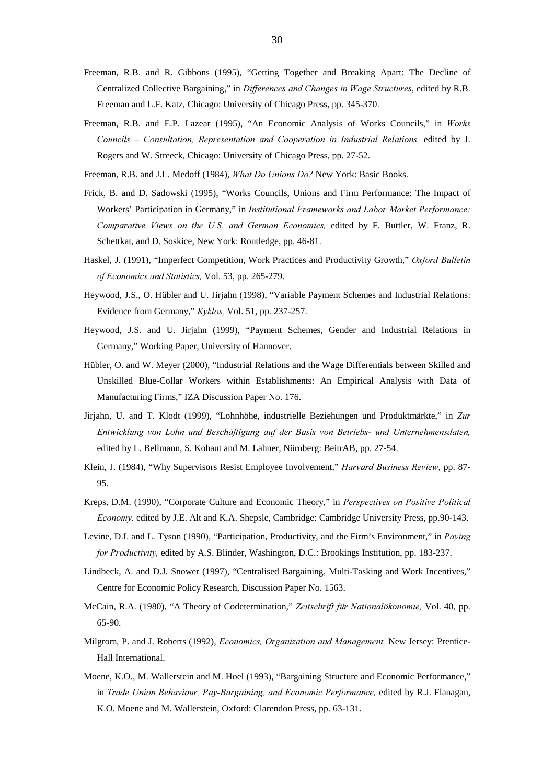- Freeman, R.B. and R. Gibbons (1995), "Getting Together and Breaking Apart: The Decline of Centralized Collective Bargaining," in Differences and Changes in Wage Structures, edited by R.B. Freeman and L.F. Katz, Chicago: University of Chicago Press, pp. 345-370.
- Freeman, R.B. and E.P. Lazear (1995), "An Economic Analysis of Works Councils," in Works Councils – Consultation, Representation and Cooperation in Industrial Relations, edited by J. Rogers and W. Streeck, Chicago: University of Chicago Press, pp. 27-52.
- Freeman, R.B. and J.L. Medoff (1984), What Do Unions Do? New York: Basic Books.
- Frick, B. and D. Sadowski (1995), "Works Councils, Unions and Firm Performance: The Impact of Workers' Participation in Germany," in Institutional Frameworks and Labor Market Performance: Comparative Views on the U.S. and German Economies, edited by F. Buttler, W. Franz, R. Schettkat, and D. Soskice, New York: Routledge, pp. 46-81.
- Haskel, J. (1991), "Imperfect Competition, Work Practices and Productivity Growth," Oxford Bulletin of Economics and Statistics, Vol. 53, pp. 265-279.
- Heywood, J.S., O. Hübler and U. Jirjahn (1998), "Variable Payment Schemes and Industrial Relations: Evidence from Germany,"  $Kyklos$ , Vol. 51, pp. 237-257.
- Heywood, J.S. and U. Jirjahn (1999), "Payment Schemes, Gender and Industrial Relations in Germany," Working Paper, University of Hannover.
- Hübler, O. and W. Meyer (2000), "Industrial Relations and the Wage Differentials between Skilled and Unskilled Blue-Collar Workers within Establishments: An Empirical Analysis with Data of Manufacturing Firms," IZA Discussion Paper No. 176.
- Jirjahn, U. and T. Klodt (1999), "Lohnhöhe, industrielle Beziehungen und Produktmärkte," in Zur Entwicklung von Lohn und Beschäftigung auf der Basis von Betriebs- und Unternehmensdaten, edited by L. Bellmann, S. Kohaut and M. Lahner, Nürnberg: BeitrAB, pp. 27-54.
- Klein, J. (1984), "Why Supervisors Resist Employee Involvement," *Harvard Business Review*, pp. 87-95.
- Kreps, D.M. (1990), "Corporate Culture and Economic Theory," in Perspectives on Positive Political Economy, edited by J.E. Alt and K.A. Shepsle, Cambridge: Cambridge University Press, pp.90-143.
- Levine, D.I. and L. Tyson (1990), "Participation, Productivity, and the Firm's Environment," in *Paying* for Productivity, edited by A.S. Blinder, Washington, D.C.: Brookings Institution, pp. 183-237.
- Lindbeck, A. and D.J. Snower (1997), "Centralised Bargaining, Multi-Tasking and Work Incentives," Centre for Economic Policy Research, Discussion Paper No. 1563.
- McCain, R.A. (1980), "A Theory of Codetermination," Zeitschrift für Nationalökonomie, Vol. 40, pp. 65-90.
- Milgrom, P. and J. Roberts (1992), *Economics, Organization and Management*, New Jersey: Prentice-Hall International.
- Moene, K.O., M. Wallerstein and M. Hoel (1993), "Bargaining Structure and Economic Performance," in Trade Union Behaviour, Pay-Bargaining, and Economic Performance, edited by R.J. Flanagan, K.O. Moene and M. Wallerstein, Oxford: Clarendon Press, pp. 63-131.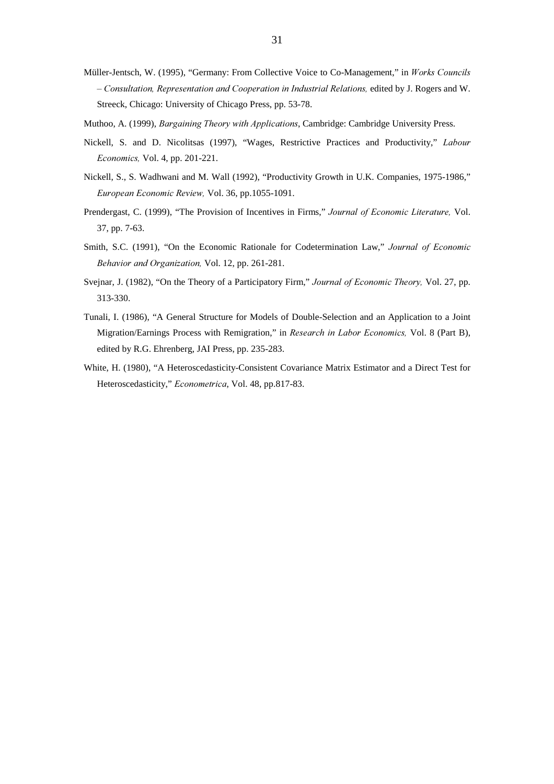- Müller-Jentsch, W. (1995), "Germany: From Collective Voice to Co-Management," in Works Councils - Consultation, Representation and Cooperation in Industrial Relations, edited by J. Rogers and W. Streeck, Chicago: University of Chicago Press, pp. 53-78.
- Muthoo, A. (1999), Bargaining Theory with Applications, Cambridge: Cambridge University Press.
- Nickell, S. and D. Nicolitsas (1997), "Wages, Restrictive Practices and Productivity," Labour *Economics*, Vol. 4, pp. 201-221.
- Nickell, S., S. Wadhwani and M. Wall (1992), "Productivity Growth in U.K. Companies, 1975-1986," European Economic Review, Vol. 36, pp.1055-1091.
- Prendergast, C. (1999), "The Provision of Incentives in Firms," Journal of Economic Literature, Vol. 37, pp. 7-63.
- Smith, S.C. (1991), "On the Economic Rationale for Codetermination Law," Journal of Economic Behavior and Organization, Vol. 12, pp. 261-281.
- Svejnar, J. (1982), "On the Theory of a Participatory Firm," Journal of Economic Theory, Vol. 27, pp. 313-330.
- Tunali, I. (1986), "A General Structure for Models of Double-Selection and an Application to a Joint Migration/Earnings Process with Remigration," in *Research in Labor Economics*, Vol. 8 (Part B), edited by R.G. Ehrenberg, JAI Press, pp. 235-283.
- White, H. (1980), "A Heteroscedasticity-Consistent Covariance Matrix Estimator and a Direct Test for Heteroscedasticity," Econometrica, Vol. 48, pp.817-83.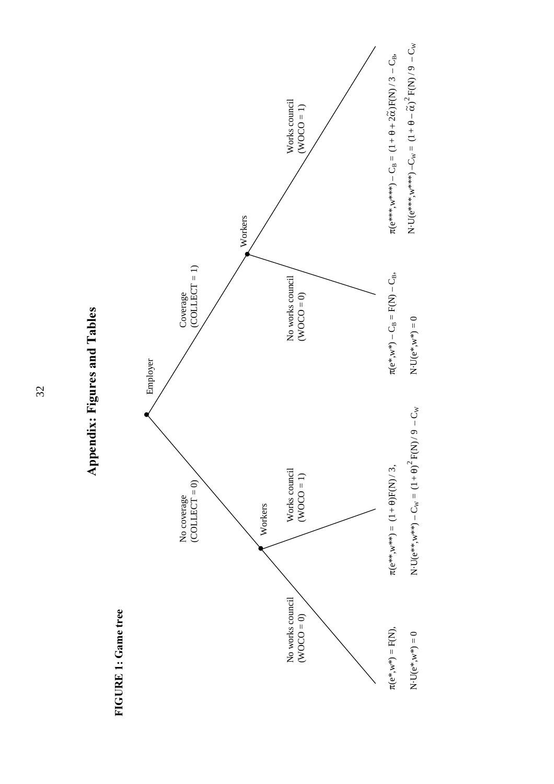



**IGURE 1: Game tree**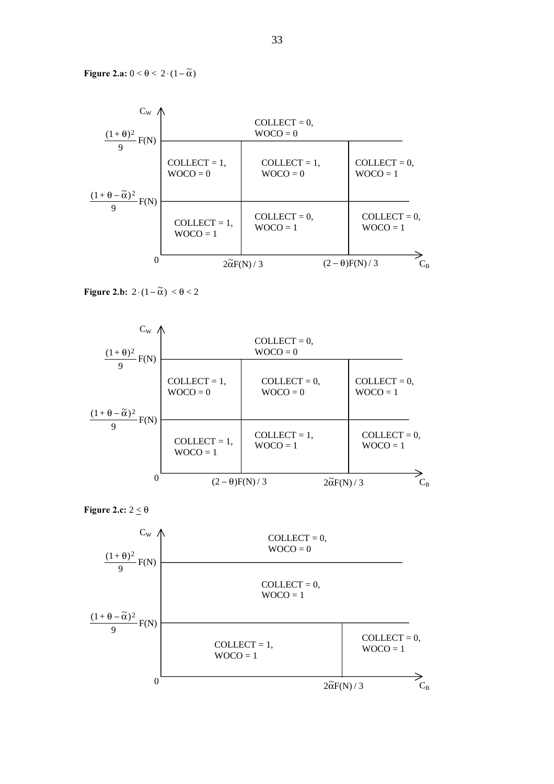Figure 2.a:  $0 < \theta < 2 \cdot (1 - \tilde{\alpha})$ 



Figure 2.b:  $2 \cdot (1 - \tilde{\alpha}) < \theta < 2$ 





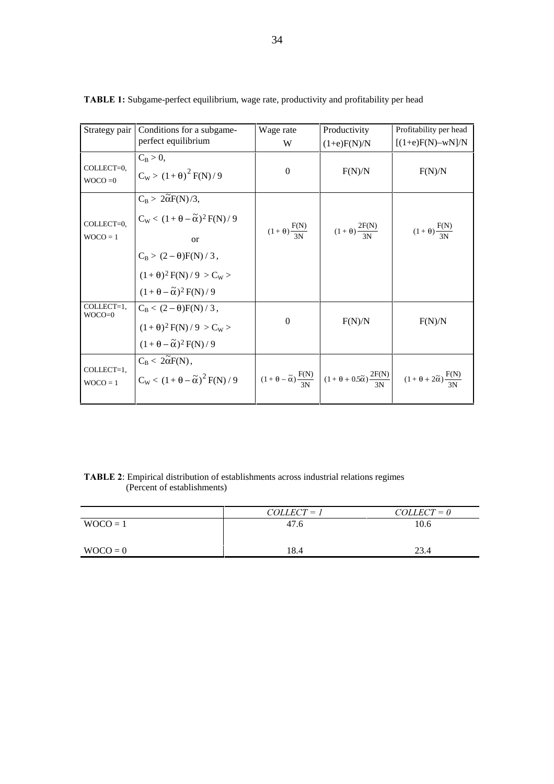| Strategy pair            | Conditions for a subgame-                                                              | Wage rate                      | Productivity                                                                                                                       | Profitability per head      |
|--------------------------|----------------------------------------------------------------------------------------|--------------------------------|------------------------------------------------------------------------------------------------------------------------------------|-----------------------------|
|                          | perfect equilibrium                                                                    | W                              | $(1+e)F(N)/N$                                                                                                                      | $[(1+e)F(N)-wN]/N$          |
|                          | $C_B > 0$ ,                                                                            |                                |                                                                                                                                    |                             |
| COLLECT=0.               | $C_{W}$ > $(1+\theta)^{2} F(N)/9$                                                      | $\Omega$                       | F(N)/N                                                                                                                             | F(N)/N                      |
| $WOCO = 0$               |                                                                                        |                                |                                                                                                                                    |                             |
|                          | $C_B > 2\tilde{\alpha}F(N)/3,$                                                         |                                |                                                                                                                                    |                             |
|                          | $C_w < (1 + \theta - \tilde{\alpha})^2 F(N) / 9$                                       |                                |                                                                                                                                    |                             |
| COLLECT=0.               |                                                                                        | $(1 + \theta) \frac{F(N)}{3N}$ | $(1+\theta)\frac{2F(N)}{3N}$                                                                                                       |                             |
| $WOCO = 1$               | $\alpha$                                                                               |                                |                                                                                                                                    | $(1+\theta)\frac{F(N)}{3N}$ |
|                          |                                                                                        |                                |                                                                                                                                    |                             |
|                          | $C_B > (2 - \theta)F(N) / 3,$<br>(1+ $\theta$ ) <sup>2</sup> F(N)/9 > C <sub>W</sub> > |                                |                                                                                                                                    |                             |
|                          | $(1+\theta-\tilde{\alpha})^2 F(N)/9$                                                   |                                |                                                                                                                                    |                             |
| COLLECT=1,<br>$WOCO=0$   | $C_{\rm B} < (2-\theta) F(N)/3$ ,                                                      |                                |                                                                                                                                    |                             |
|                          | $(1+\theta)^2 F(N)/9 > C_W >$                                                          | $\Omega$                       | F(N)/N                                                                                                                             | F(N)/N                      |
|                          | $(1+\theta-\tilde{\alpha})^2 F(N)/9$                                                   |                                |                                                                                                                                    |                             |
|                          | $C_{\rm B} < 2\tilde{\alpha}F(N)$ ,                                                    |                                |                                                                                                                                    |                             |
| COLLECT=1.<br>$WOCO = 1$ | $C_w < (1 + \theta - \tilde{\alpha})^2 F(N)/9$                                         |                                | $(1+\theta-\tilde{\alpha})\frac{F(N)}{N}$ $(1+\theta+0.5\tilde{\alpha})\frac{2F(N)}{N}$ $(1+\theta+2\tilde{\alpha})\frac{F(N)}{N}$ |                             |
|                          |                                                                                        |                                |                                                                                                                                    |                             |

TABLE 1: Subgame-perfect equilibrium, wage rate, productivity and profitability per head

| <b>TABLE 2:</b> Empirical distribution of establishments across industrial relations regimes |                             |  |  |
|----------------------------------------------------------------------------------------------|-----------------------------|--|--|
|                                                                                              | (Percent of establishments) |  |  |

|            | $COLLECT = 1$ | $COLLECT = 0$ |
|------------|---------------|---------------|
| $WOCO = 1$ | 47.6          | 10.6          |
| $WOCO = 0$ | 8.4           | 23.4          |
|            |               |               |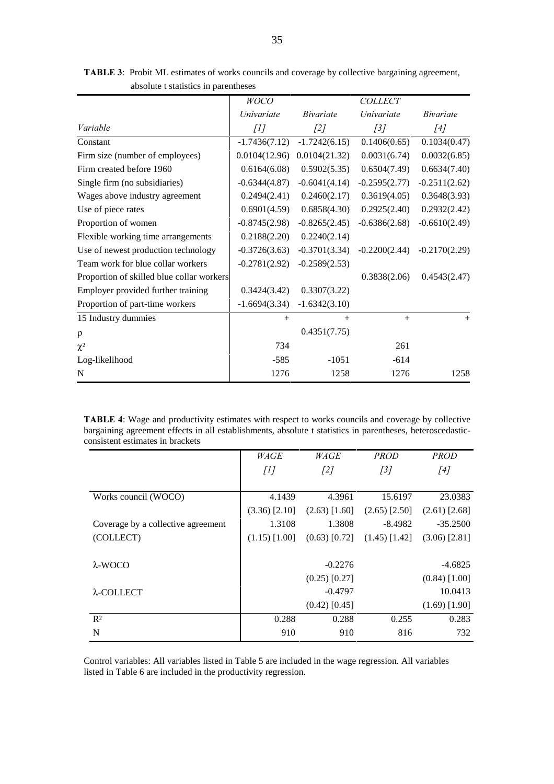|                                           | <b>WOCO</b>       |                  | <b>COLLECT</b>    |                  |
|-------------------------------------------|-------------------|------------------|-------------------|------------------|
|                                           | <i>Univariate</i> | <i>Bivariate</i> | <i>Univariate</i> | <i>Bivariate</i> |
| Variable                                  | $[1]$             | [2]              | $\int$ 3]         | [4]              |
| Constant                                  | $-1.7436(7.12)$   | $-1.7242(6.15)$  | 0.1406(0.65)      | 0.1034(0.47)     |
| Firm size (number of employees)           | 0.0104(12.96)     | 0.0104(21.32)    | 0.0031(6.74)      | 0.0032(6.85)     |
| Firm created before 1960                  | 0.6164(6.08)      | 0.5902(5.35)     | 0.6504(7.49)      | 0.6634(7.40)     |
| Single firm (no subsidiaries)             | $-0.6344(4.87)$   | $-0.6041(4.14)$  | $-0.2595(2.77)$   | $-0.2511(2.62)$  |
| Wages above industry agreement            | 0.2494(2.41)      | 0.2460(2.17)     | 0.3619(4.05)      | 0.3648(3.93)     |
| Use of piece rates                        | 0.6901(4.59)      | 0.6858(4.30)     | 0.2925(2.40)      | 0.2932(2.42)     |
| Proportion of women                       | $-0.8745(2.98)$   | $-0.8265(2.45)$  | $-0.6386(2.68)$   | $-0.6610(2.49)$  |
| Flexible working time arrangements        | 0.2188(2.20)      | 0.2240(2.14)     |                   |                  |
| Use of newest production technology       | $-0.3726(3.63)$   | $-0.3701(3.34)$  | $-0.2200(2.44)$   | $-0.2170(2.29)$  |
| Team work for blue collar workers         | $-0.2781(2.92)$   | $-0.2589(2.53)$  |                   |                  |
| Proportion of skilled blue collar workers |                   |                  | 0.3838(2.06)      | 0.4543(2.47)     |
| Employer provided further training        | 0.3424(3.42)      | 0.3307(3.22)     |                   |                  |
| Proportion of part-time workers           | $-1.6694(3.34)$   | $-1.6342(3.10)$  |                   |                  |
| 15 Industry dummies                       | $^{+}$            | $+$              | $+$               | $^{+}$           |
| $\rho$                                    |                   | 0.4351(7.75)     |                   |                  |
| $\chi^2$                                  | 734               |                  | 261               |                  |
| Log-likelihood                            | $-585$            | $-1051$          | $-614$            |                  |
| N                                         | 1276              | 1258             | 1276              | 1258             |

TABLE 3: Probit ML estimates of works councils and coverage by collective bargaining agreement, absolute t statistics in parentheses

TABLE 4: Wage and productivity estimates with respect to works councils and coverage by collective bargaining agreement effects in all establishments, absolute t statistics in parentheses, heteroscedasticconsistent estimates in brackets

|                                    | <i>WAGE</i>     | WAGE            | <b>PROD</b>     | <b>PROD</b>     |
|------------------------------------|-----------------|-----------------|-----------------|-----------------|
|                                    | [1]             | [2]             | [3]             | [4]             |
|                                    |                 |                 |                 |                 |
| Works council (WOCO)               | 4.1439          | 4.3961          | 15.6197         | 23.0383         |
|                                    | $(3.36)$ [2.10] | $(2.63)$ [1.60] | $(2.65)$ [2.50] | $(2.61)$ [2.68] |
| Coverage by a collective agreement | 1.3108          | 1.3808          | $-8.4982$       | $-35.2500$      |
| (COLLECT)                          | $(1.15)$ [1.00] | $(0.63)$ [0.72] | $(1.45)$ [1.42] | $(3.06)$ [2.81] |
|                                    |                 |                 |                 |                 |
| $\lambda$ -WOCO                    |                 | $-0.2276$       |                 | $-4.6825$       |
|                                    |                 | $(0.25)$ [0.27] |                 | $(0.84)$ [1.00] |
| $\lambda$ -COLLECT                 |                 | $-0.4797$       |                 | 10.0413         |
|                                    |                 | $(0.42)$ [0.45] |                 | $(1.69)$ [1.90] |
| $R^2$                              | 0.288           | 0.288           | 0.255           | 0.283           |
| N                                  | 910             | 910             | 816             | 732             |

Control variables: All variables listed in Table 5 are included in the wage regression. All variables listed in Table 6 are included in the productivity regression.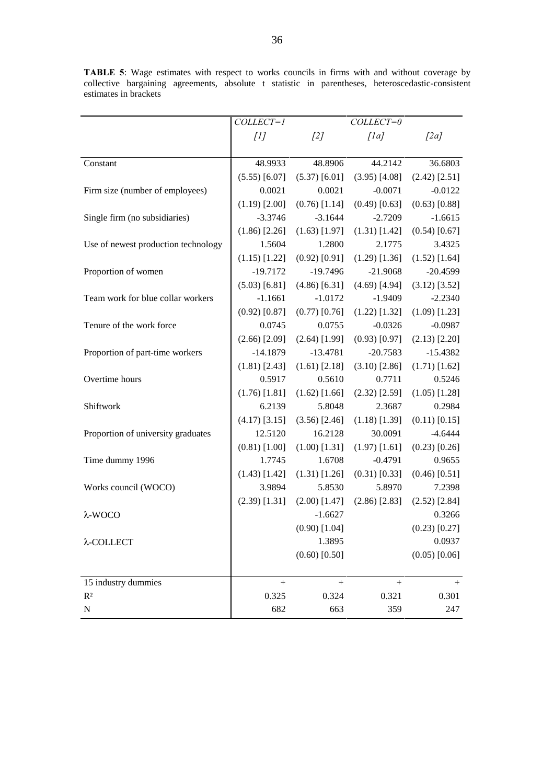|                                     | COLLECT=1       |                 | $COLLECT=0$     |                 |
|-------------------------------------|-----------------|-----------------|-----------------|-----------------|
|                                     | [1]             | [2]             | [1a]            | [2a]            |
|                                     |                 |                 |                 |                 |
| Constant                            | 48.9933         | 48.8906         | 44.2142         | 36.6803         |
|                                     | $(5.55)$ [6.07] | $(5.37)$ [6.01] | $(3.95)$ [4.08] | $(2.42)$ [2.51] |
| Firm size (number of employees)     | 0.0021          | 0.0021          | $-0.0071$       | $-0.0122$       |
|                                     | $(1.19)$ [2.00] | $(0.76)$ [1.14] | $(0.49)$ [0.63] | $(0.63)$ [0.88] |
| Single firm (no subsidiaries)       | $-3.3746$       | $-3.1644$       | $-2.7209$       | $-1.6615$       |
|                                     | $(1.86)$ [2.26] | $(1.63)$ [1.97] | $(1.31)$ [1.42] | $(0.54)$ [0.67] |
| Use of newest production technology | 1.5604          | 1.2800          | 2.1775          | 3.4325          |
|                                     | $(1.15)$ [1.22] | $(0.92)$ [0.91] | $(1.29)$ [1.36] | $(1.52)$ [1.64] |
| Proportion of women                 | $-19.7172$      | $-19.7496$      | $-21.9068$      | $-20.4599$      |
|                                     | $(5.03)$ [6.81] | $(4.86)$ [6.31] | $(4.69)$ [4.94] | $(3.12)$ [3.52] |
| Team work for blue collar workers   | $-1.1661$       | $-1.0172$       | $-1.9409$       | $-2.2340$       |
|                                     | $(0.92)$ [0.87] | $(0.77)$ [0.76] | $(1.22)$ [1.32] | $(1.09)$ [1.23] |
| Tenure of the work force            | 0.0745          | 0.0755          | $-0.0326$       | $-0.0987$       |
|                                     | $(2.66)$ [2.09] | $(2.64)$ [1.99] | $(0.93)$ [0.97] | $(2.13)$ [2.20] |
| Proportion of part-time workers     | $-14.1879$      | $-13.4781$      | $-20.7583$      | $-15.4382$      |
|                                     | $(1.81)$ [2.43] | $(1.61)$ [2.18] | $(3.10)$ [2.86] | $(1.71)$ [1.62] |
| Overtime hours                      | 0.5917          | 0.5610          | 0.7711          | 0.5246          |
|                                     | $(1.76)$ [1.81] | $(1.62)$ [1.66] | $(2.32)$ [2.59] | $(1.05)$ [1.28] |
| Shiftwork                           | 6.2139          | 5.8048          | 2.3687          | 0.2984          |
|                                     | $(4.17)$ [3.15] | $(3.56)$ [2.46] | $(1.18)$ [1.39] | $(0.11)$ [0.15] |
| Proportion of university graduates  | 12.5120         | 16.2128         | 30.0091         | $-4.6444$       |
|                                     | $(0.81)$ [1.00] | $(1.00)$ [1.31] | $(1.97)$ [1.61] | $(0.23)$ [0.26] |
| Time dummy 1996                     | 1.7745          | 1.6708          | $-0.4791$       | 0.9655          |
|                                     | $(1.43)$ [1.42] | $(1.31)$ [1.26] | $(0.31)$ [0.33] | $(0.46)$ [0.51] |
| Works council (WOCO)                | 3.9894          | 5.8530          | 5.8970          | 7.2398          |
|                                     | $(2.39)$ [1.31] | $(2.00)$ [1.47] | $(2.86)$ [2.83] | $(2.52)$ [2.84] |
| $\lambda$ -WOCO                     |                 | $-1.6627$       |                 | 0.3266          |
|                                     |                 | $(0.90)$ [1.04] |                 | $(0.23)$ [0.27] |
| λ-COLLECT                           |                 | 1.3895          |                 | 0.0937          |
|                                     |                 | $(0.60)$ [0.50] |                 | $(0.05)$ [0.06] |
| 15 industry dummies                 | $^{+}$          | $^{+}$          | $^{+}$          | $^{+}$          |
| R <sup>2</sup>                      | 0.325           | 0.324           | 0.321           | 0.301           |
| ${\bf N}$                           | 682             | 663             | 359             | 247             |

**TABLE 5:** Wage estimates with respect to works councils in firms with and without coverage by collective bargaining agreements, absolute t statistic in parentheses, heteroscedastic-consistent estimates in brackets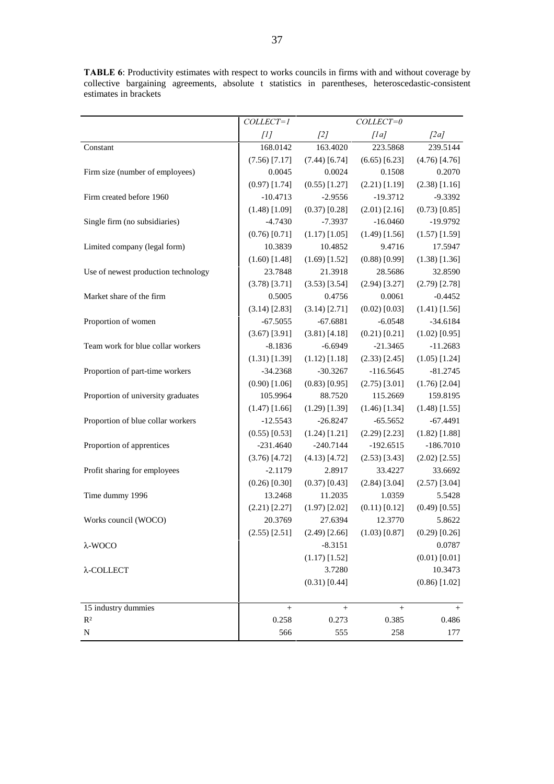TABLE 6: Productivity estimates with respect to works councils in firms with and without coverage by collective bargaining agreements, absolute t statistics in parentheses, heteroscedastic-consistent estimates in brackets

|                                     | COLLECT=1       |                 | COLLECT=0       |                 |
|-------------------------------------|-----------------|-----------------|-----------------|-----------------|
|                                     | [1]             | [2]             | [1a]            | [2a]            |
| Constant                            | 168.0142        | 163.4020        | 223.5868        | 239.5144        |
|                                     | $(7.56)$ [7.17] | $(7.44)$ [6.74] | $(6.65)$ [6.23] | $(4.76)$ [4.76] |
| Firm size (number of employees)     | 0.0045          | 0.0024          | 0.1508          | 0.2070          |
|                                     | $(0.97)$ [1.74] | $(0.55)$ [1.27] | $(2.21)$ [1.19] | $(2.38)$ [1.16] |
| Firm created before 1960            | $-10.4713$      | $-2.9556$       | $-19.3712$      | $-9.3392$       |
|                                     | $(1.48)$ [1.09] | $(0.37)$ [0.28] | $(2.01)$ [2.16] | $(0.73)$ [0.85] |
| Single firm (no subsidiaries)       | $-4.7430$       | $-7.3937$       | $-16.0460$      | $-19.9792$      |
|                                     | $(0.76)$ [0.71] | $(1.17)$ [1.05] | $(1.49)$ [1.56] | $(1.57)$ [1.59] |
| Limited company (legal form)        | 10.3839         | 10.4852         | 9.4716          | 17.5947         |
|                                     | $(1.60)$ [1.48] | $(1.69)$ [1.52] | $(0.88)$ [0.99] | $(1.38)$ [1.36] |
| Use of newest production technology | 23.7848         | 21.3918         | 28.5686         | 32.8590         |
|                                     | $(3.78)$ [3.71] | $(3.53)$ [3.54] | $(2.94)$ [3.27] | $(2.79)$ [2.78] |
| Market share of the firm            | 0.5005          | 0.4756          | 0.0061          | $-0.4452$       |
|                                     | $(3.14)$ [2.83] | $(3.14)$ [2.71] | $(0.02)$ [0.03] | $(1.41)$ [1.56] |
| Proportion of women                 | $-67.5055$      | $-67.6881$      | $-6.0548$       | $-34.6184$      |
|                                     | $(3.67)$ [3.91] | (3.81) [4.18]   | $(0.21)$ [0.21] | $(1.02)$ [0.95] |
| Team work for blue collar workers   | $-8.1836$       | $-6.6949$       | $-21.3465$      | $-11.2683$      |
|                                     | $(1.31)$ [1.39] | $(1.12)$ [1.18] | $(2.33)$ [2.45] | $(1.05)$ [1.24] |
| Proportion of part-time workers     | $-34.2368$      | $-30.3267$      | $-116.5645$     | $-81.2745$      |
|                                     | $(0.90)$ [1.06] | $(0.83)$ [0.95] | $(2.75)$ [3.01] | $(1.76)$ [2.04] |
| Proportion of university graduates  | 105.9964        | 88.7520         | 115.2669        | 159.8195        |
|                                     | $(1.47)$ [1.66] | $(1.29)$ [1.39] | $(1.46)$ [1.34] | $(1.48)$ [1.55] |
| Proportion of blue collar workers   | $-12.5543$      | $-26.8247$      | $-65.5652$      | $-67.4491$      |
|                                     | $(0.55)$ [0.53] | $(1.24)$ [1.21] | $(2.29)$ [2.23] | $(1.82)$ [1.88] |
| Proportion of apprentices           | $-231.4640$     | $-240.7144$     | $-192.6515$     | $-186.7010$     |
|                                     | $(3.76)$ [4.72] | $(4.13)$ [4.72] | $(2.53)$ [3.43] | $(2.02)$ [2.55] |
| Profit sharing for employees        | $-2.1179$       | 2.8917          | 33.4227         | 33.6692         |
|                                     | $(0.26)$ [0.30] | $(0.37)$ [0.43] | $(2.84)$ [3.04] | $(2.57)$ [3.04] |
| Time dummy 1996                     | 13.2468         | 11.2035         | 1.0359          | 5.5428          |
|                                     | $(2.21)$ [2.27] | $(1.97)$ [2.02] | $(0.11)$ [0.12] | $(0.49)$ [0.55] |
| Works council (WOCO)                | 20.3769         | 27.6394         | 12.3770         | 5.8622          |
|                                     | $(2.55)$ [2.51] | $(2.49)$ [2.66] | $(1.03)$ [0.87] | $(0.29)$ [0.26] |
| $\lambda$ -WOCO                     |                 | $-8.3151$       |                 | 0.0787          |
|                                     |                 | $(1.17)$ [1.52] |                 | $(0.01)$ [0.01] |
| λ-COLLECT                           |                 | 3.7280          |                 | 10.3473         |
|                                     |                 | $(0.31)$ [0.44] |                 | $(0.86)$ [1.02] |
| 15 industry dummies                 | $\! + \!\!\!\!$ | $\! + \!\!\!\!$ | $\! + \!\!\!\!$ | $^{+}$          |
| R <sup>2</sup>                      | 0.258           | 0.273           | 0.385           | 0.486           |
| N                                   | 566             | 555             | 258             | 177             |
|                                     |                 |                 |                 |                 |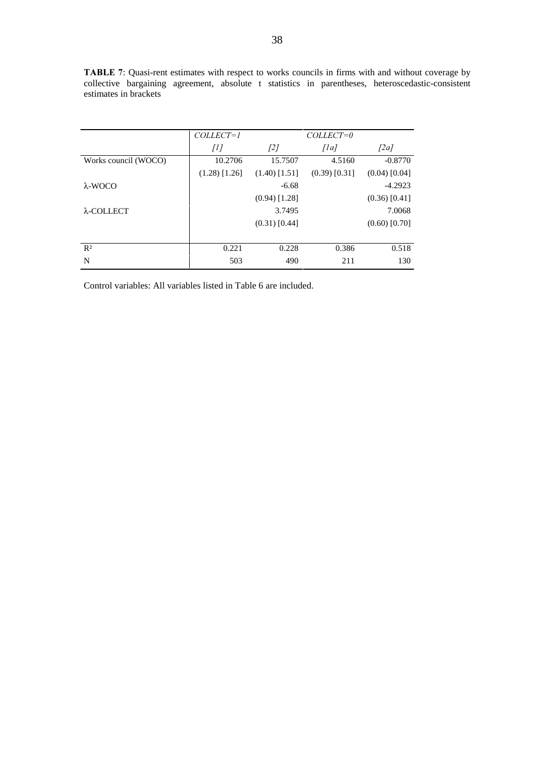|                      | COLLECT=1       |                 | COLLECT=0       |                 |
|----------------------|-----------------|-----------------|-----------------|-----------------|
|                      | $[1]$           | $[2]$           | $\int Ia$       | [2a]            |
| Works council (WOCO) | 10.2706         | 15.7507         | 4.5160          | $-0.8770$       |
|                      | $(1.28)$ [1.26] | $(1.40)$ [1.51] | $(0.39)$ [0.31] | $(0.04)$ [0.04] |
| $\lambda$ -WOCO      |                 | $-6.68$         |                 | $-4.2923$       |
|                      |                 | $(0.94)$ [1.28] |                 | $(0.36)$ [0.41] |
| $\lambda$ -COLLECT   |                 | 3.7495          |                 | 7.0068          |
|                      |                 | $(0.31)$ [0.44] |                 | $(0.60)$ [0.70] |
|                      |                 |                 |                 |                 |
| $R^2$                | 0.221           | 0.228           | 0.386           | 0.518           |
| N                    | 503             | 490             | 211             | 130             |

TABLE 7: Quasi-rent estimates with respect to works councils in firms with and without coverage by collective bargaining agreement, absolute t statistics in parentheses, heteroscedastic-consistent estimates in brackets

Control variables: All variables listed in Table 6 are included.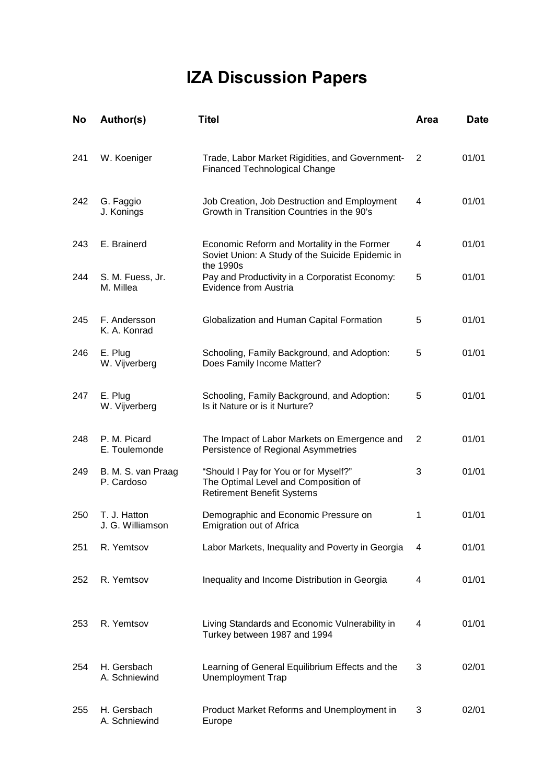# **IZA Discussion Papers**

| No  | Author(s)                        | <b>Titel</b>                                                                                                       | <b>Area</b>    | <b>Date</b> |
|-----|----------------------------------|--------------------------------------------------------------------------------------------------------------------|----------------|-------------|
| 241 | W. Koeniger                      | Trade, Labor Market Rigidities, and Government-<br><b>Financed Technological Change</b>                            | $\overline{2}$ | 01/01       |
| 242 | G. Faggio<br>J. Konings          | Job Creation, Job Destruction and Employment<br>Growth in Transition Countries in the 90's                         | 4              | 01/01       |
| 243 | E. Brainerd                      | Economic Reform and Mortality in the Former<br>Soviet Union: A Study of the Suicide Epidemic in                    | 4              | 01/01       |
| 244 | S. M. Fuess, Jr.<br>M. Millea    | the 1990s<br>Pay and Productivity in a Corporatist Economy:<br>Evidence from Austria                               | 5              | 01/01       |
| 245 | F. Andersson<br>K. A. Konrad     | Globalization and Human Capital Formation                                                                          | 5              | 01/01       |
| 246 | E. Plug<br>W. Vijverberg         | Schooling, Family Background, and Adoption:<br>Does Family Income Matter?                                          | 5              | 01/01       |
| 247 | E. Plug<br>W. Vijverberg         | Schooling, Family Background, and Adoption:<br>Is it Nature or is it Nurture?                                      | 5              | 01/01       |
| 248 | P. M. Picard<br>E. Toulemonde    | The Impact of Labor Markets on Emergence and<br>Persistence of Regional Asymmetries                                | 2              | 01/01       |
| 249 | B. M. S. van Praag<br>P. Cardoso | "Should I Pay for You or for Myself?"<br>The Optimal Level and Composition of<br><b>Retirement Benefit Systems</b> | 3              | 01/01       |
| 250 | T. J. Hatton<br>J. G. Williamson | Demographic and Economic Pressure on<br><b>Emigration out of Africa</b>                                            | 1              | 01/01       |
| 251 | R. Yemtsov                       | Labor Markets, Inequality and Poverty in Georgia                                                                   | 4              | 01/01       |
| 252 | R. Yemtsov                       | Inequality and Income Distribution in Georgia                                                                      | 4              | 01/01       |
| 253 | R. Yemtsov                       | Living Standards and Economic Vulnerability in<br>Turkey between 1987 and 1994                                     | 4              | 01/01       |
| 254 | H. Gersbach<br>A. Schniewind     | Learning of General Equilibrium Effects and the<br>Unemployment Trap                                               | 3              | 02/01       |
| 255 | H. Gersbach<br>A. Schniewind     | Product Market Reforms and Unemployment in<br>Europe                                                               | 3              | 02/01       |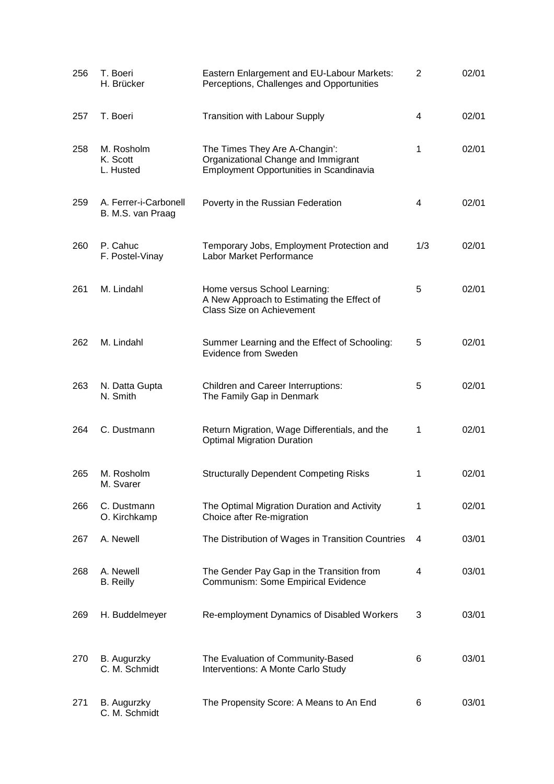| 256 | T. Boeri<br>H. Brücker                     | Eastern Enlargement and EU-Labour Markets:<br>Perceptions, Challenges and Opportunities                                 | 2   | 02/01 |
|-----|--------------------------------------------|-------------------------------------------------------------------------------------------------------------------------|-----|-------|
| 257 | T. Boeri                                   | <b>Transition with Labour Supply</b>                                                                                    | 4   | 02/01 |
| 258 | M. Rosholm<br>K. Scott<br>L. Husted        | The Times They Are A-Changin':<br>Organizational Change and Immigrant<br><b>Employment Opportunities in Scandinavia</b> | 1   | 02/01 |
| 259 | A. Ferrer-i-Carbonell<br>B. M.S. van Praag | Poverty in the Russian Federation                                                                                       | 4   | 02/01 |
| 260 | P. Cahuc<br>F. Postel-Vinay                | Temporary Jobs, Employment Protection and<br>Labor Market Performance                                                   | 1/3 | 02/01 |
| 261 | M. Lindahl                                 | Home versus School Learning:<br>A New Approach to Estimating the Effect of<br>Class Size on Achievement                 | 5   | 02/01 |
| 262 | M. Lindahl                                 | Summer Learning and the Effect of Schooling:<br>Evidence from Sweden                                                    | 5   | 02/01 |
| 263 | N. Datta Gupta<br>N. Smith                 | Children and Career Interruptions:<br>The Family Gap in Denmark                                                         | 5   | 02/01 |
| 264 | C. Dustmann                                | Return Migration, Wage Differentials, and the<br><b>Optimal Migration Duration</b>                                      | 1   | 02/01 |
| 265 | M. Rosholm<br>M. Svarer                    | <b>Structurally Dependent Competing Risks</b>                                                                           | 1   | 02/01 |
| 266 | C. Dustmann<br>O. Kirchkamp                | The Optimal Migration Duration and Activity<br>Choice after Re-migration                                                | 1   | 02/01 |
| 267 | A. Newell                                  | The Distribution of Wages in Transition Countries                                                                       | 4   | 03/01 |
| 268 | A. Newell<br><b>B.</b> Reilly              | The Gender Pay Gap in the Transition from<br>Communism: Some Empirical Evidence                                         | 4   | 03/01 |
| 269 | H. Buddelmeyer                             | Re-employment Dynamics of Disabled Workers                                                                              | 3   | 03/01 |
| 270 | B. Augurzky<br>C. M. Schmidt               | The Evaluation of Community-Based<br>Interventions: A Monte Carlo Study                                                 | 6   | 03/01 |
| 271 | B. Augurzky<br>C. M. Schmidt               | The Propensity Score: A Means to An End                                                                                 | 6   | 03/01 |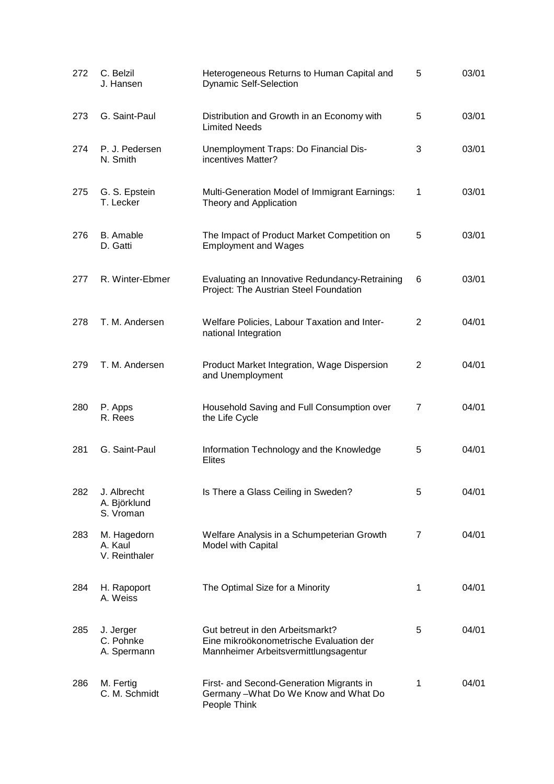| 272 | C. Belzil<br>J. Hansen                   | Heterogeneous Returns to Human Capital and<br>Dynamic Self-Selection                                                 | 5              | 03/01 |
|-----|------------------------------------------|----------------------------------------------------------------------------------------------------------------------|----------------|-------|
| 273 | G. Saint-Paul                            | Distribution and Growth in an Economy with<br><b>Limited Needs</b>                                                   | 5              | 03/01 |
| 274 | P. J. Pedersen<br>N. Smith               | Unemployment Traps: Do Financial Dis-<br>incentives Matter?                                                          | 3              | 03/01 |
| 275 | G. S. Epstein<br>T. Lecker               | Multi-Generation Model of Immigrant Earnings:<br>Theory and Application                                              | 1              | 03/01 |
| 276 | <b>B.</b> Amable<br>D. Gatti             | The Impact of Product Market Competition on<br><b>Employment and Wages</b>                                           | 5              | 03/01 |
| 277 | R. Winter-Ebmer                          | Evaluating an Innovative Redundancy-Retraining<br>Project: The Austrian Steel Foundation                             | 6              | 03/01 |
| 278 | T. M. Andersen                           | Welfare Policies, Labour Taxation and Inter-<br>national Integration                                                 | $\overline{2}$ | 04/01 |
| 279 | T. M. Andersen                           | Product Market Integration, Wage Dispersion<br>and Unemployment                                                      | 2              | 04/01 |
| 280 | P. Apps<br>R. Rees                       | Household Saving and Full Consumption over<br>the Life Cycle                                                         | 7              | 04/01 |
| 281 | G. Saint-Paul                            | Information Technology and the Knowledge<br><b>Elites</b>                                                            | 5              | 04/01 |
| 282 | J. Albrecht<br>A. Björklund<br>S. Vroman | Is There a Glass Ceiling in Sweden?                                                                                  | 5              | 04/01 |
| 283 | M. Hagedorn<br>A. Kaul<br>V. Reinthaler  | Welfare Analysis in a Schumpeterian Growth<br>Model with Capital                                                     | 7              | 04/01 |
| 284 | H. Rapoport<br>A. Weiss                  | The Optimal Size for a Minority                                                                                      | 1              | 04/01 |
| 285 | J. Jerger<br>C. Pohnke<br>A. Spermann    | Gut betreut in den Arbeitsmarkt?<br>Eine mikroökonometrische Evaluation der<br>Mannheimer Arbeitsvermittlungsagentur | 5              | 04/01 |
| 286 | M. Fertig<br>C. M. Schmidt               | First- and Second-Generation Migrants in<br>Germany-What Do We Know and What Do<br>People Think                      | 1              | 04/01 |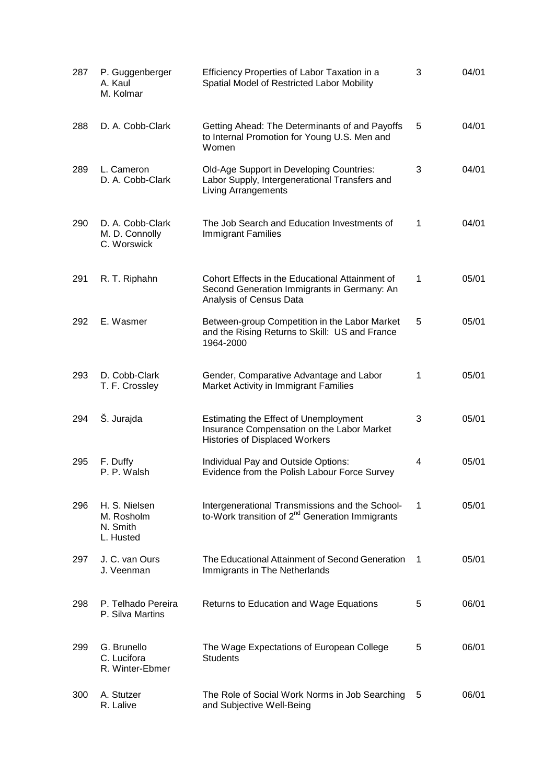| 287 | P. Guggenberger<br>A. Kaul<br>M. Kolmar              | Efficiency Properties of Labor Taxation in a<br>Spatial Model of Restricted Labor Mobility                                   | 3 | 04/01 |
|-----|------------------------------------------------------|------------------------------------------------------------------------------------------------------------------------------|---|-------|
| 288 | D. A. Cobb-Clark                                     | Getting Ahead: The Determinants of and Payoffs<br>to Internal Promotion for Young U.S. Men and<br>Women                      | 5 | 04/01 |
| 289 | L. Cameron<br>D. A. Cobb-Clark                       | Old-Age Support in Developing Countries:<br>Labor Supply, Intergenerational Transfers and<br><b>Living Arrangements</b>      | 3 | 04/01 |
| 290 | D. A. Cobb-Clark<br>M. D. Connolly<br>C. Worswick    | The Job Search and Education Investments of<br><b>Immigrant Families</b>                                                     | 1 | 04/01 |
| 291 | R. T. Riphahn                                        | Cohort Effects in the Educational Attainment of<br>Second Generation Immigrants in Germany: An<br>Analysis of Census Data    | 1 | 05/01 |
| 292 | E. Wasmer                                            | Between-group Competition in the Labor Market<br>and the Rising Returns to Skill: US and France<br>1964-2000                 | 5 | 05/01 |
| 293 | D. Cobb-Clark<br>T. F. Crossley                      | Gender, Comparative Advantage and Labor<br>Market Activity in Immigrant Families                                             | 1 | 05/01 |
| 294 | Š. Jurajda                                           | Estimating the Effect of Unemployment<br>Insurance Compensation on the Labor Market<br><b>Histories of Displaced Workers</b> | 3 | 05/01 |
| 295 | F. Duffy<br>P. P. Walsh                              | Individual Pay and Outside Options:<br>Evidence from the Polish Labour Force Survey                                          | 4 | 05/01 |
| 296 | H. S. Nielsen<br>M. Rosholm<br>N. Smith<br>L. Husted | Intergenerational Transmissions and the School-<br>to-Work transition of 2 <sup>nd</sup> Generation Immigrants               | 1 | 05/01 |
| 297 | J. C. van Ours<br>J. Veenman                         | The Educational Attainment of Second Generation<br>Immigrants in The Netherlands                                             | 1 | 05/01 |
| 298 | P. Telhado Pereira<br>P. Silva Martins               | Returns to Education and Wage Equations                                                                                      | 5 | 06/01 |
| 299 | G. Brunello<br>C. Lucifora<br>R. Winter-Ebmer        | The Wage Expectations of European College<br><b>Students</b>                                                                 | 5 | 06/01 |
| 300 | A. Stutzer<br>R. Lalive                              | The Role of Social Work Norms in Job Searching<br>and Subjective Well-Being                                                  | 5 | 06/01 |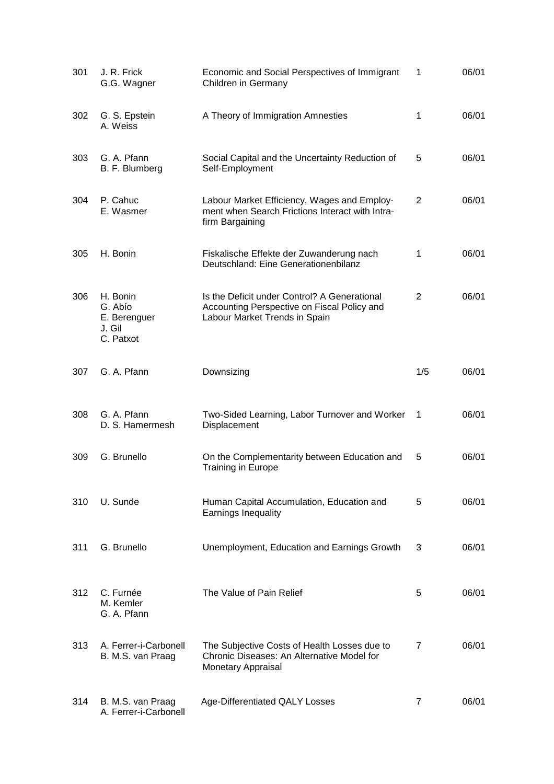| 301 | J. R. Frick<br>G.G. Wagner                                 | Economic and Social Perspectives of Immigrant<br>Children in Germany                                                         | 1   | 06/01 |
|-----|------------------------------------------------------------|------------------------------------------------------------------------------------------------------------------------------|-----|-------|
| 302 | G. S. Epstein<br>A. Weiss                                  | A Theory of Immigration Amnesties                                                                                            | 1   | 06/01 |
| 303 | G. A. Pfann<br>B. F. Blumberg                              | Social Capital and the Uncertainty Reduction of<br>Self-Employment                                                           | 5   | 06/01 |
| 304 | P. Cahuc<br>E. Wasmer                                      | Labour Market Efficiency, Wages and Employ-<br>ment when Search Frictions Interact with Intra-<br>firm Bargaining            | 2   | 06/01 |
| 305 | H. Bonin                                                   | Fiskalische Effekte der Zuwanderung nach<br>Deutschland: Eine Generationenbilanz                                             | 1   | 06/01 |
| 306 | H. Bonin<br>G. Abío<br>E. Berenguer<br>J. Gil<br>C. Patxot | Is the Deficit under Control? A Generational<br>Accounting Perspective on Fiscal Policy and<br>Labour Market Trends in Spain | 2   | 06/01 |
| 307 | G. A. Pfann                                                | Downsizing                                                                                                                   | 1/5 | 06/01 |
| 308 | G. A. Pfann<br>D. S. Hamermesh                             | Two-Sided Learning, Labor Turnover and Worker<br>Displacement                                                                | 1   | 06/01 |
| 309 | G. Brunello                                                | On the Complementarity between Education and<br><b>Training in Europe</b>                                                    | 5   | 06/01 |
| 310 | U. Sunde                                                   | Human Capital Accumulation, Education and<br>Earnings Inequality                                                             | 5   | 06/01 |
| 311 | G. Brunello                                                | Unemployment, Education and Earnings Growth                                                                                  | 3   | 06/01 |
| 312 | C. Furnée<br>M. Kemler<br>G. A. Pfann                      | The Value of Pain Relief                                                                                                     | 5   | 06/01 |
| 313 | A. Ferrer-i-Carbonell<br>B. M.S. van Praag                 | The Subjective Costs of Health Losses due to<br>Chronic Diseases: An Alternative Model for<br><b>Monetary Appraisal</b>      | 7   | 06/01 |
| 314 | B. M.S. van Praag<br>A. Ferrer-i-Carbonell                 | Age-Differentiated QALY Losses                                                                                               | 7   | 06/01 |